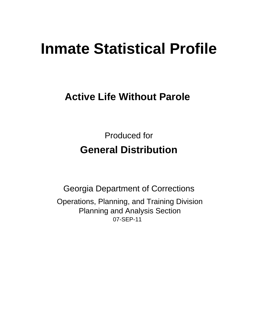# **Inmate Statistical Profile**

## **Active Life Without Parole**

**Produced for General Distribution** 

**Georgia Department of Corrections** Operations, Planning, and Training Division **Planning and Analysis Section** 07-SEP-11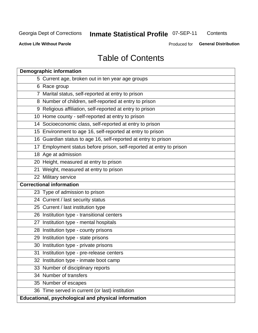## **Inmate Statistical Profile 07-SEP-11**

Contents

**Active Life Without Parole** 

Produced for General Distribution

## **Table of Contents**

| <b>Demographic information</b>                                       |
|----------------------------------------------------------------------|
| 5 Current age, broken out in ten year age groups                     |
| 6 Race group                                                         |
| 7 Marital status, self-reported at entry to prison                   |
| 8 Number of children, self-reported at entry to prison               |
| 9 Religious affiliation, self-reported at entry to prison            |
| 10 Home county - self-reported at entry to prison                    |
| 14 Socioeconomic class, self-reported at entry to prison             |
| 15 Environment to age 16, self-reported at entry to prison           |
| 16 Guardian status to age 16, self-reported at entry to prison       |
| 17 Employment status before prison, self-reported at entry to prison |
| 18 Age at admission                                                  |
| 20 Height, measured at entry to prison                               |
| 21 Weight, measured at entry to prison                               |
| 22 Military service                                                  |
| <b>Correctional information</b>                                      |
| 23 Type of admission to prison                                       |
| 24 Current / last security status                                    |
| 25 Current / last institution type                                   |
| 26 Institution type - transitional centers                           |
| 27 Institution type - mental hospitals                               |
| 28 Institution type - county prisons                                 |
| 29 Institution type - state prisons                                  |
| 30 Institution type - private prisons                                |
| 31 Institution type - pre-release centers                            |
| 32 Institution type - inmate boot camp                               |
| 33 Number of disciplinary reports                                    |
| 34 Number of transfers                                               |
| 35 Number of escapes                                                 |
| 36 Time served in current (or last) institution                      |
| <b>Educational, psychological and physical information</b>           |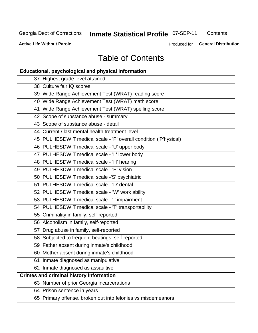## **Inmate Statistical Profile 07-SEP-11**

Contents

**Active Life Without Parole** 

Produced for General Distribution

## **Table of Contents**

| <b>Educational, psychological and physical information</b>       |
|------------------------------------------------------------------|
| 37 Highest grade level attained                                  |
| 38 Culture fair IQ scores                                        |
| 39 Wide Range Achievement Test (WRAT) reading score              |
| 40 Wide Range Achievement Test (WRAT) math score                 |
| 41 Wide Range Achievement Test (WRAT) spelling score             |
| 42 Scope of substance abuse - summary                            |
| 43 Scope of substance abuse - detail                             |
| 44 Current / last mental health treatment level                  |
| 45 PULHESDWIT medical scale - 'P' overall condition ('P'hysical) |
| 46 PULHESDWIT medical scale - 'U' upper body                     |
| 47 PULHESDWIT medical scale - 'L' lower body                     |
| 48 PULHESDWIT medical scale - 'H' hearing                        |
| 49 PULHESDWIT medical scale - 'E' vision                         |
| 50 PULHESDWIT medical scale -'S' psychiatric                     |
| 51 PULHESDWIT medical scale - 'D' dental                         |
| 52 PULHESDWIT medical scale - 'W' work ability                   |
| 53 PULHESDWIT medical scale - 'I' impairment                     |
| 54 PULHESDWIT medical scale - 'T' transportability               |
| 55 Criminality in family, self-reported                          |
| 56 Alcoholism in family, self-reported                           |
| 57 Drug abuse in family, self-reported                           |
| 58 Subjected to frequent beatings, self-reported                 |
| 59 Father absent during inmate's childhood                       |
| 60 Mother absent during inmate's childhood                       |
| 61 Inmate diagnosed as manipulative                              |
| 62 Inmate diagnosed as assaultive                                |
| <b>Crimes and criminal history information</b>                   |
| 63 Number of prior Georgia incarcerations                        |
| 64 Prison sentence in years                                      |
| 65 Primary offense, broken out into felonies vs misdemeanors     |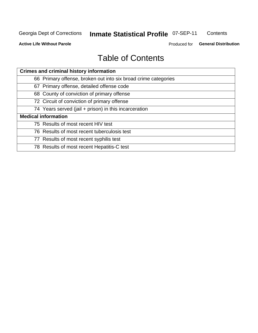## **Inmate Statistical Profile 07-SEP-11**

Contents

**Active Life Without Parole** 

Produced for General Distribution

## **Table of Contents**

| <b>Crimes and criminal history information</b>                 |
|----------------------------------------------------------------|
| 66 Primary offense, broken out into six broad crime categories |
| 67 Primary offense, detailed offense code                      |
| 68 County of conviction of primary offense                     |
| 72 Circuit of conviction of primary offense                    |
| 74 Years served (jail + prison) in this incarceration          |
| <b>Medical information</b>                                     |
| 75 Results of most recent HIV test                             |
| 76 Results of most recent tuberculosis test                    |
| 77 Results of most recent syphilis test                        |
| 78 Results of most recent Hepatitis-C test                     |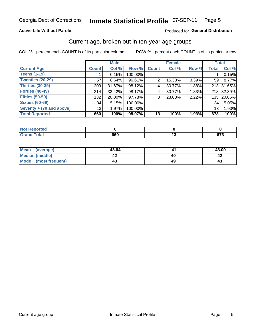#### **Inmate Statistical Profile 07-SEP-11** Page 5

### **Active Life Without Parole**

### Produced for General Distribution

### Current age, broken out in ten-year age groups

COL % - percent each COUNT is of its particular column

|                          |              | <b>Male</b> |         |              | <b>Female</b> |          | <b>Total</b>    |            |
|--------------------------|--------------|-------------|---------|--------------|---------------|----------|-----------------|------------|
| <b>Current Age</b>       | <b>Count</b> | Col %       | Row %   | <b>Count</b> | Col %         | Row %    | <b>Total</b>    | Col %      |
| <b>Teens (1-19)</b>      |              | 0.15%       | 100.00% |              |               |          |                 | 0.15%      |
| <b>Twenties (20-29)</b>  | 57           | 8.64%       | 96.61%  | 2            | 15.38%        | $3.39\%$ | 59 I            | 8.77%      |
| Thirties (30-39)         | 209          | $31.67\%$   | 98.12%  | 4            | 30.77%        | 1.88%    |                 | 213 31.65% |
| <b>Forties (40-49)</b>   | 214          | $32.42\%$   | 98.17%  | 4            | 30.77%        | 1.83%    |                 | 218 32.39% |
| <b>Fifties (50-59)</b>   | 132          | $20.00\%$   | 97.78%  | 3            | 23.08%        | 2.22%    |                 | 135 20.06% |
| <b>Sixties (60-69)</b>   | 34           | 5.15%       | 100.00% |              |               |          | 34              | 5.05%      |
| Seventy + (70 and above) | 13           | 1.97%       | 100.00% |              |               |          | 13 <sub>1</sub> | 1.93%      |
| <b>Total Reported</b>    | 660          | 100%        | 98.07%  | 13           | 100%          | 1.93%    | 673             | 100%       |

| .<br>m.               |     |        |         |
|-----------------------|-----|--------|---------|
| $C = 4 - 7$<br>______ | 660 | $\sim$ | $c - c$ |

| Mean<br>(average)      | 43.04 | 43.00 |
|------------------------|-------|-------|
| <b>Median (middle)</b> |       |       |
| Mode (most frequent)   |       | د4    |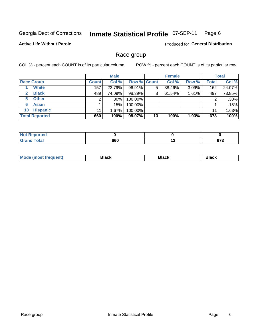#### **Inmate Statistical Profile 07-SEP-11** Page 6

### **Active Life Without Parole**

Produced for General Distribution

### Race group

COL % - percent each COUNT is of its particular column

|                              |              | <b>Male</b> |                    |    | <b>Female</b> |       |              | <b>Total</b> |
|------------------------------|--------------|-------------|--------------------|----|---------------|-------|--------------|--------------|
| <b>Race Group</b>            | <b>Count</b> | Col %       | <b>Row % Count</b> |    | Col %         | Row % | <b>Total</b> | Col %        |
| <b>White</b>                 | 157          | 23.79%      | 96.91%             | 5  | 38.46%        | 3.09% | 162          | 24.07%       |
| <b>Black</b><br>$\mathbf{2}$ | 489          | 74.09%      | 98.39%             | 8  | 61.54%        | 1.61% | 497          | 73.85%       |
| <b>Other</b><br>5.           |              | $.30\%$     | 100.00%            |    |               |       | 2            | .30%         |
| <b>Asian</b><br>6            |              | .15%        | 100.00%            |    |               |       |              | .15%         |
| <b>Hispanic</b><br>10        | 11           | $1.67\%$    | 100.00%            |    |               |       | 11           | 1.63%        |
| <b>Total Reported</b>        | 660          | 100%        | 98.07%             | 13 | 100%          | 1.93% | 673          | 100%         |

| .<br>'ted    |     |        |                          |
|--------------|-----|--------|--------------------------|
| <b>Total</b> | 660 | <br>__ | $\sim$<br>01 J<br>$\sim$ |

| M | --- | $-1$ |
|---|-----|------|
|   |     |      |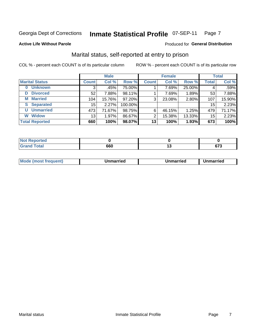#### **Inmate Statistical Profile 07-SEP-11** Page 7

### **Active Life Without Parole**

### Produced for General Distribution

### Marital status, self-reported at entry to prison

COL % - percent each COUNT is of its particular column

|                       |              | <b>Male</b> |         |              | <b>Female</b> |        |              | <b>Total</b> |
|-----------------------|--------------|-------------|---------|--------------|---------------|--------|--------------|--------------|
| <b>Marital Status</b> | <b>Count</b> | Col %       | Row %   | <b>Count</b> | Col %         | Row %  | <b>Total</b> | Col %        |
| <b>Unknown</b><br>0   | 3            | .45%        | 75.00%  |              | 7.69%         | 25.00% | 4            | .59%         |
| <b>Divorced</b><br>D  | 52           | 7.88%       | 98.11%  |              | 7.69%         | 1.89%  | 53           | 7.88%        |
| <b>Married</b><br>М   | 104          | 15.76%      | 97.20%  | 3            | 23.08%        | 2.80%  | 107          | 15.90%       |
| <b>Separated</b><br>S | 15           | 2.27%       | 100.00% |              |               |        | 15           | 2.23%        |
| <b>Unmarried</b><br>U | 473          | 71.67%      | 98.75%  | 6            | 46.15%        | 1.25%  | 479          | 71.17%       |
| <b>Widow</b><br>W     | 13           | 1.97%       | 86.67%  | 2            | 15.38%        | 13.33% | 15           | 2.23%        |
| <b>Total Reported</b> | 660          | 100%        | 98.07%  | 13           | 100%          | 1.93%  | 673          | 100%         |

| <b>Not Reported</b><br>. <b>.</b> |     |                 |
|-----------------------------------|-----|-----------------|
| <b>Total</b>                      | 660 | $\sim$<br>0 I J |

|--|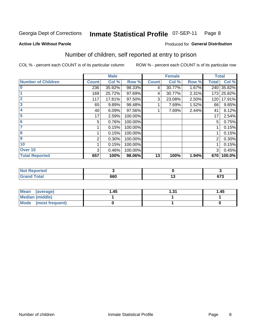#### **Inmate Statistical Profile 07-SEP-11** Page 8

### **Active Life Without Parole**

### Produced for General Distribution

### Number of children, self reported at entry to prison

COL % - percent each COUNT is of its particular column

|                           |              | <b>Male</b> |         |              | <b>Female</b> |       |              | <b>Total</b> |
|---------------------------|--------------|-------------|---------|--------------|---------------|-------|--------------|--------------|
| <b>Number of Children</b> | <b>Count</b> | Col %       | Row %   | <b>Count</b> | Col %         | Row % | <b>Total</b> | Col %        |
| $\bf{0}$                  | 236          | 35.92%      | 98.33%  | 4            | 30.77%        | 1.67% | 240          | 35.82%       |
|                           | 169          | 25.72%      | 97.69%  | 4            | 30.77%        | 2.31% | 173          | 25.82%       |
| $\overline{2}$            | 117          | 17.81%      | 97.50%  | 3            | 23.08%        | 2.50% | 120          | 17.91%       |
| 3                         | 65           | 9.89%       | 98.48%  |              | 7.69%         | 1.52% | 66           | 9.85%        |
| 4                         | 40           | 6.09%       | 97.56%  |              | 7.69%         | 2.44% | 41           | 6.12%        |
| 5                         | 17           | 2.59%       | 100.00% |              |               |       | 17           | 2.54%        |
| 6                         | 5            | 0.76%       | 100.00% |              |               |       | 5            | 0.75%        |
| 7                         |              | 0.15%       | 100.00% |              |               |       |              | 0.15%        |
| 8                         |              | 0.15%       | 100.00% |              |               |       |              | 0.15%        |
| $\boldsymbol{9}$          | 2            | 0.30%       | 100.00% |              |               |       | 2            | 0.30%        |
| 10                        |              | 0.15%       | 100.00% |              |               |       |              | 0.15%        |
| Over 10                   | 3            | 0.46%       | 100.00% |              |               |       | 3            | 0.45%        |
| <b>Total Reported</b>     | 657          | 100%        | 98.06%  | 13           | 100%          | 1.94% | 670          | 100.0%       |

| لمنتشر بالتعاد<br>rtea                                    |     |              |
|-----------------------------------------------------------|-----|--------------|
| $T0$ tol<br><b>Construction Construction Construction</b> | 660 | ~70<br>v 1 J |

| Mean (average)         | 1.45 | - 21<br>ا ت. ا | 1.45 |
|------------------------|------|----------------|------|
| <b>Median (middle)</b> |      |                |      |
| Mode (most frequent)   |      |                |      |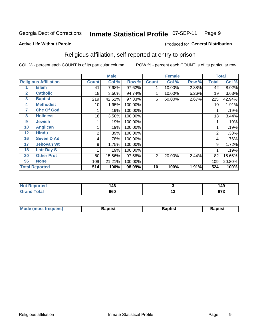#### **Inmate Statistical Profile 07-SEP-11** Page 9

**Active Life Without Parole** 

### Produced for General Distribution

### Religious affiliation, self-reported at entry to prison

COL % - percent each COUNT is of its particular column

|              |                              |                | <b>Male</b> |         |                | <b>Female</b> |       |                | <b>Total</b> |
|--------------|------------------------------|----------------|-------------|---------|----------------|---------------|-------|----------------|--------------|
|              | <b>Religious Affiliation</b> | <b>Count</b>   | Col %       | Row %   | <b>Count</b>   | Col %         | Row % | <b>Total</b>   | Col %        |
|              | Islam                        | 41             | 7.98%       | 97.62%  |                | 10.00%        | 2.38% | 42             | 8.02%        |
| $\mathbf{2}$ | <b>Catholic</b>              | 18             | 3.50%       | 94.74%  |                | 10.00%        | 5.26% | 19             | 3.63%        |
| 3            | <b>Baptist</b>               | 219            | 42.61%      | 97.33%  | 6              | 60.00%        | 2.67% | 225            | 42.94%       |
| 4            | <b>Methodist</b>             | 10             | 1.95%       | 100.00% |                |               |       | 10             | 1.91%        |
| 7            | <b>Chc Of God</b>            |                | .19%        | 100.00% |                |               |       |                | .19%         |
| 8            | <b>Holiness</b>              | 18             | 3.50%       | 100.00% |                |               |       | 18             | 3.44%        |
| 9            | <b>Jewish</b>                |                | .19%        | 100.00% |                |               |       |                | .19%         |
| 10           | <b>Anglican</b>              |                | .19%        | 100.00% |                |               |       |                | .19%         |
| 12           | <b>Hindu</b>                 | $\overline{2}$ | .39%        | 100.00% |                |               |       | $\overline{2}$ | .38%         |
| 16           | <b>Seven D Ad</b>            | 4              | .78%        | 100.00% |                |               |       | 4              | .76%         |
| 17           | <b>Jehovah Wt</b>            | 9              | 1.75%       | 100.00% |                |               |       | 9              | 1.72%        |
| 18           | <b>Latr Day S</b>            |                | .19%        | 100.00% |                |               |       |                | .19%         |
| 20           | <b>Other Prot</b>            | 80             | 15.56%      | 97.56%  | $\overline{2}$ | 20.00%        | 2.44% | 82             | 15.65%       |
| 96           | <b>None</b>                  | 109            | 21.21%      | 100.00% |                |               |       | 109            | 20.80%       |
|              | <b>Total Reported</b>        | 514            | 100%        | 98.09%  | 10             | 100%          | 1.91% | 524            | 100%         |

| керогтеа<br>.                   | <b>46</b> |     | 149         |
|---------------------------------|-----------|-----|-------------|
| $\mathcal{L}$ and $\mathcal{L}$ | 660       | 1 J | 672<br>נ וס |

| <b>Mode (most frequent)</b> | 3aptist | 3aptist | 3aptist |
|-----------------------------|---------|---------|---------|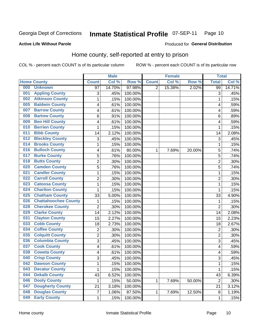#### **Inmate Statistical Profile 07-SEP-11** Page 10

### **Active Life Without Parole**

### Produced for General Distribution

### Home county, self-reported at entry to prison

COL % - percent each COUNT is of its particular column

|                  |                             |                | <b>Male</b> |                  |              | <b>Female</b> |        | <b>Total</b>   |         |
|------------------|-----------------------------|----------------|-------------|------------------|--------------|---------------|--------|----------------|---------|
|                  | <b>Home County</b>          | <b>Count</b>   | Col %       | Row <sup>%</sup> | <b>Count</b> | Col %         | Row %  | <b>Total</b>   | Col %   |
| 000              | <b>Unknown</b>              | 97             | 14.70%      | 97.98%           | 2            | 15.38%        | 2.02%  | 99             | 14.71%  |
| 001              | <b>Appling County</b>       | 3              | .45%        | 100.00%          |              |               |        | 3              | .45%    |
| 002              | <b>Atkinson County</b>      | $\mathbf 1$    | .15%        | 100.00%          |              |               |        | 1              | .15%    |
| 005              | <b>Baldwin County</b>       | 4              | .61%        | 100.00%          |              |               |        | 4              | .59%    |
| 007              | <b>Barrow County</b>        | 4              | .61%        | 100.00%          |              |               |        | 4              | .59%    |
| 008              | <b>Bartow County</b>        | 6              | .91%        | 100.00%          |              |               |        | 6              | .89%    |
| 009              | <b>Ben Hill County</b>      | 4              | .61%        | 100.00%          |              |               |        | 4              | .59%    |
| 010              | <b>Berrien County</b>       | 1              | .15%        | 100.00%          |              |               |        | 1              | .15%    |
| 011              | <b>Bibb County</b>          | 14             | 2.12%       | 100.00%          |              |               |        | 14             | 2.08%   |
| 012              | <b>Bleckley County</b>      | 3              | .45%        | 100.00%          |              |               |        | 3              | .45%    |
| 014              | <b>Brooks County</b>        | $\mathbf{1}$   | .15%        | 100.00%          |              |               |        | 1              | .15%    |
| 016              | <b>Bulloch County</b>       | 4              | .61%        | 80.00%           | 1            | 7.69%         | 20.00% | 5              | .74%    |
| 017              | <b>Burke County</b>         | 5              | .76%        | 100.00%          |              |               |        | 5              | .74%    |
| 018              | <b>Butts County</b>         | $\overline{2}$ | .30%        | 100.00%          |              |               |        | $\overline{c}$ | .30%    |
| 020              | <b>Camden County</b>        | 5              | .76%        | 100.00%          |              |               |        | 5              | .74%    |
| 021              | <b>Candler County</b>       | $\mathbf 1$    | .15%        | 100.00%          |              |               |        | 1              | .15%    |
| $\overline{022}$ | <b>Carroll County</b>       | $\overline{2}$ | .30%        | 100.00%          |              |               |        | $\overline{2}$ | .30%    |
| 023              | <b>Catoosa County</b>       | $\mathbf 1$    | .15%        | 100.00%          |              |               |        | 1              | .15%    |
| 024              | <b>Charlton County</b>      | $\mathbf 1$    | .15%        | 100.00%          |              |               |        | 1              | .15%    |
| 025              | <b>Chatham County</b>       | 33             | 5.00%       | 100.00%          |              |               |        | 33             | 4.90%   |
| 026              | <b>Chattahoochee County</b> | 1              | .15%        | 100.00%          |              |               |        | 1              | .15%    |
| 028              | <b>Cherokee County</b>      | $\overline{2}$ | .30%        | 100.00%          |              |               |        | $\overline{2}$ | .30%    |
| 029              | <b>Clarke County</b>        | 14             | 2.12%       | 100.00%          |              |               |        | 14             | 2.08%   |
| 031              | <b>Clayton County</b>       | 15             | 2.27%       | 100.00%          |              |               |        | 15             | 2.23%   |
| 033              | <b>Cobb County</b>          | 18             | 2.73%       | 100.00%          |              |               |        | 18             | 2.67%   |
| 034              | <b>Coffee County</b>        | $\overline{2}$ | .30%        | 100.00%          |              |               |        | $\overline{2}$ | .30%    |
| 035              | <b>Colquitt County</b>      | $\overline{2}$ | .30%        | 100.00%          |              |               |        | $\overline{c}$ | .30%    |
| 036              | <b>Columbia County</b>      | 3              | .45%        | 100.00%          |              |               |        | 3              | .45%    |
| 037              | <b>Cook County</b>          | 4              | .61%        | 100.00%          |              |               |        | 4              | .59%    |
| 038              | <b>Coweta County</b>        | 4              | .61%        | 100.00%          |              |               |        | 4              | .59%    |
| 040              | <b>Crisp County</b>         | $\overline{3}$ | .45%        | 100.00%          |              |               |        | 3              | .45%    |
| 042              | <b>Dawson County</b>        | $\mathbf 1$    | .15%        | 100.00%          |              |               |        | 1              | .15%    |
| 043              | <b>Decatur County</b>       | $\mathbf{1}$   | .15%        | 100.00%          |              |               |        | 1              | .15%    |
| 044              | <b>Dekalb County</b>        | 43             | 6.52%       | 100.00%          |              |               |        | 43             | 6.39%   |
| 046              | <b>Dooly County</b>         | 1              | .15%        | 50.00%           | 1            | 7.69%         | 50.00% | $\overline{2}$ | $.30\%$ |
| 047              | <b>Dougherty County</b>     | 21             | 3.18%       | 100.00%          |              |               |        | 21             | 3.12%   |
| 048              | <b>Douglas County</b>       | 7              | 1.06%       | 87.50%           | 1            | 7.69%         | 12.50% | 8              | 1.19%   |
| 049              | <b>Early County</b>         | $\mathbf{1}$   | .15%        | 100.00%          |              |               |        | 1              | .15%    |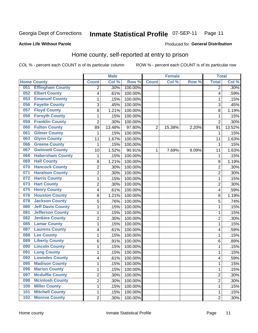#### **Inmate Statistical Profile 07-SEP-11** Page 11

**Produced for General Distribution** 

### **Active Life Without Parole**

### Home county, self-reported at entry to prison

COL % - percent each COUNT is of its particular column

|     |                          |                           | <b>Male</b> |                  |                | <b>Female</b> |       | <b>Total</b>   |         |
|-----|--------------------------|---------------------------|-------------|------------------|----------------|---------------|-------|----------------|---------|
|     | <b>Home County</b>       | <b>Count</b>              | Col %       | Row <sup>%</sup> | <b>Count</b>   | Col %         | Row % | <b>Total</b>   | Col %   |
| 051 | <b>Effingham County</b>  | $\overline{2}$            | .30%        | 100.00%          |                |               |       | $\overline{2}$ | $.30\%$ |
| 052 | <b>Elbert County</b>     | $\overline{\mathcal{A}}$  | .61%        | 100.00%          |                |               |       | 4              | .59%    |
| 053 | <b>Emanuel County</b>    | 1                         | .15%        | 100.00%          |                |               |       | 1              | .15%    |
| 056 | <b>Fayette County</b>    | $\ensuremath{\mathsf{3}}$ | .45%        | 100.00%          |                |               |       | 3              | .45%    |
| 057 | <b>Floyd County</b>      | 8                         | 1.21%       | 100.00%          |                |               |       | 8              | 1.19%   |
| 058 | <b>Forsyth County</b>    | $\mathbf{1}$              | .15%        | 100.00%          |                |               |       | 1              | .15%    |
| 059 | <b>Franklin County</b>   | $\overline{2}$            | .30%        | 100.00%          |                |               |       | $\overline{2}$ | .30%    |
| 060 | <b>Fulton County</b>     | 89                        | 13.48%      | 97.80%           | $\overline{2}$ | 15.38%        | 2.20% | 91             | 13.52%  |
| 061 | <b>Gilmer County</b>     | 1                         | .15%        | 100.00%          |                |               |       | 1              | .15%    |
| 063 | <b>Glynn County</b>      | 11                        | 1.67%       | 100.00%          |                |               |       | 11             | 1.63%   |
| 066 | <b>Greene County</b>     | 1                         | .15%        | 100.00%          |                |               |       | 1              | .15%    |
| 067 | <b>Gwinnett County</b>   | 10                        | 1.52%       | 90.91%           | 1              | 7.69%         | 9.09% | 11             | 1.63%   |
| 068 | <b>Habersham County</b>  | $\mathbf{1}$              | .15%        | 100.00%          |                |               |       | 1              | .15%    |
| 069 | <b>Hall County</b>       | 8                         | 1.21%       | 100.00%          |                |               |       | 8              | 1.19%   |
| 070 | <b>Hancock County</b>    | $\overline{2}$            | .30%        | 100.00%          |                |               |       | $\overline{c}$ | $.30\%$ |
| 071 | <b>Haralson County</b>   | $\overline{2}$            | .30%        | 100.00%          |                |               |       | $\overline{2}$ | .30%    |
| 072 | <b>Harris County</b>     | 1                         | .15%        | 100.00%          |                |               |       | 1              | .15%    |
| 073 | <b>Hart County</b>       | $\overline{2}$            | .30%        | 100.00%          |                |               |       | $\overline{2}$ | .30%    |
| 075 | <b>Henry County</b>      | 4                         | .61%        | 100.00%          |                |               |       | 4              | .59%    |
| 076 | <b>Houston County</b>    | 8                         | 1.21%       | 100.00%          |                |               |       | 8              | 1.19%   |
| 078 | <b>Jackson County</b>    | 5                         | .76%        | 100.00%          |                |               |       | 5              | .74%    |
| 080 | <b>Jeff Davis County</b> | $\mathbf{1}$              | .15%        | 100.00%          |                |               |       | 1              | .15%    |
| 081 | <b>Jefferson County</b>  | $\mathbf{1}$              | .15%        | 100.00%          |                |               |       | 1              | .15%    |
| 082 | <b>Jenkins County</b>    | $\overline{2}$            | .30%        | 100.00%          |                |               |       | $\overline{2}$ | .30%    |
| 085 | <b>Lamar County</b>      | 1                         | .15%        | 100.00%          |                |               |       | 1              | .15%    |
| 087 | <b>Laurens County</b>    | $\overline{\mathcal{A}}$  | .61%        | 100.00%          |                |               |       | 4              | .59%    |
| 088 | <b>Lee County</b>        | $\mathbf{1}$              | .15%        | 100.00%          |                |               |       | 1              | .15%    |
| 089 | <b>Liberty County</b>    | 6                         | .91%        | 100.00%          |                |               |       | 6              | .89%    |
| 090 | <b>Lincoln County</b>    | 1                         | .15%        | 100.00%          |                |               |       | 1              | .15%    |
| 091 | <b>Long County</b>       | $\mathbf{1}$              | .15%        | 100.00%          |                |               |       | 1              | .15%    |
| 092 | <b>Lowndes County</b>    | $\overline{\mathbf{4}}$   | .61%        | 100.00%          |                |               |       | 4              | .59%    |
| 095 | <b>Madison County</b>    | 1                         | .15%        | 100.00%          |                |               |       | 1              | .15%    |
| 096 | <b>Marion County</b>     | $\mathbf{1}$              | .15%        | 100.00%          |                |               |       | 1              | .15%    |
| 097 | <b>Mcduffie County</b>   | $\overline{2}$            | .30%        | 100.00%          |                |               |       | $\overline{2}$ | $.30\%$ |
| 098 | <b>Mcintosh County</b>   | $\overline{2}$            | .30%        | 100.00%          |                |               |       | 2              | $.30\%$ |
| 100 | <b>Miller County</b>     | 1                         | .15%        | 100.00%          |                |               |       | 1              | .15%    |
| 101 | <b>Mitchell County</b>   | $\mathbf{1}$              | .15%        | 100.00%          |                |               |       | 1              | .15%    |
| 102 | <b>Monroe County</b>     | $\overline{2}$            | .30%        | 100.00%          |                |               |       | $\overline{2}$ | .30%    |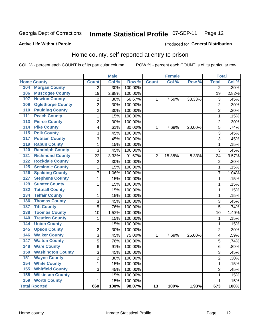#### **Inmate Statistical Profile 07-SEP-11** Page 12

### **Active Life Without Parole**

### **Produced for General Distribution**

### Home county, self-reported at entry to prison

COL % - percent each COUNT is of its particular column

|                                          |                          |                | <b>Male</b> |         |                 | <b>Female</b> |        | <b>Total</b>    |         |
|------------------------------------------|--------------------------|----------------|-------------|---------|-----------------|---------------|--------|-----------------|---------|
| <b>Home County</b>                       |                          | <b>Count</b>   | Col %       | Row %   | <b>Count</b>    | Col %         | Row %  | <b>Total</b>    | Col %   |
| <b>Morgan County</b><br>104              |                          | $\overline{2}$ | .30%        | 100.00% |                 |               |        | $\overline{2}$  | $.30\%$ |
| 106<br><b>Muscogee County</b>            |                          | 19             | 2.88%       | 100.00% |                 |               |        | $\overline{19}$ | 2.82%   |
| <b>Newton County</b><br>107              |                          | $\overline{2}$ | .30%        | 66.67%  | 1               | 7.69%         | 33.33% | 3               | .45%    |
| <b>Oglethorpe County</b><br>109          |                          | $\overline{2}$ | .30%        | 100.00% |                 |               |        | $\overline{2}$  | .30%    |
| <b>Paulding County</b><br>110            |                          | $\overline{2}$ | .30%        | 100.00% |                 |               |        | $\overline{2}$  | .30%    |
| <b>Peach County</b><br>$\overline{111}$  |                          | $\mathbf{1}$   | .15%        | 100.00% |                 |               |        | 1               | .15%    |
| <b>Pierce County</b><br>113              |                          | $\overline{2}$ | .30%        | 100.00% |                 |               |        | $\overline{2}$  | .30%    |
| <b>Pike County</b><br>114                |                          | 4              | .61%        | 80.00%  | 1               | 7.69%         | 20.00% | 5               | .74%    |
| <b>Polk County</b><br>115                |                          | 3              | .45%        | 100.00% |                 |               |        | 3               | .45%    |
| <b>Putnam County</b><br>117              |                          | 3              | .45%        | 100.00% |                 |               |        | 3               | .45%    |
| <b>Rabun County</b><br>119               |                          | $\mathbf{1}$   | .15%        | 100.00% |                 |               |        | 1               | .15%    |
| <b>Randolph County</b><br>120            |                          | 3              | .45%        | 100.00% |                 |               |        | 3               | .45%    |
| <b>Richmond County</b><br>121            |                          | 22             | 3.33%       | 91.67%  | $\overline{2}$  | 15.38%        | 8.33%  | 24              | 3.57%   |
| <b>Rockdale County</b><br>122            |                          | $\overline{2}$ | .30%        | 100.00% |                 |               |        | $\overline{2}$  | .30%    |
| <b>Seminole County</b><br>125            |                          | $\mathbf{1}$   | .15%        | 100.00% |                 |               |        | 1               | .15%    |
| <b>Spalding County</b><br>126            |                          | $\overline{7}$ | 1.06%       | 100.00% |                 |               |        | 7               | 1.04%   |
| <b>Stephens County</b><br>127            |                          | $\mathbf{1}$   | .15%        | 100.00% |                 |               |        | 1               | .15%    |
| <b>Sumter County</b><br>129              |                          | $\mathbf{1}$   | .15%        | 100.00% |                 |               |        | 1               | .15%    |
| <b>Tattnall County</b><br>132            |                          | $\mathbf 1$    | .15%        | 100.00% |                 |               |        | $\mathbf 1$     | .15%    |
| <b>Telfair County</b><br>134             |                          | $\mathbf 1$    | .15%        | 100.00% |                 |               |        | $\mathbf 1$     | .15%    |
| <b>Thomas County</b><br>136              |                          | 3              | .45%        | 100.00% |                 |               |        | 3               | .45%    |
| <b>Tift County</b><br>$\overline{137}$   |                          | $\overline{5}$ | .76%        | 100.00% |                 |               |        | $\overline{5}$  | .74%    |
| <b>Toombs County</b><br>138              |                          | 10             | 1.52%       | 100.00% |                 |               |        | $\overline{10}$ | 1.49%   |
| <b>Treutlen County</b><br>140            |                          | $\mathbf 1$    | .15%        | 100.00% |                 |               |        | 1               | .15%    |
| <b>Union County</b><br>144               |                          | $\mathbf{1}$   | .15%        | 100.00% |                 |               |        | 1               | .15%    |
| <b>Upson County</b><br>$\overline{145}$  |                          | $\overline{2}$ | .30%        | 100.00% |                 |               |        | $\overline{2}$  | .30%    |
| <b>Walker County</b><br>146              |                          | 3              | .45%        | 75.00%  | $\mathbf{1}$    | 7.69%         | 25.00% | 4               | .59%    |
| <b>Walton County</b><br>$\overline{147}$ |                          | 5              | .76%        | 100.00% |                 |               |        | 5               | .74%    |
| <b>Ware County</b><br>148                |                          | 6              | .91%        | 100.00% |                 |               |        | 6               | .89%    |
| 150                                      | <b>Washington County</b> | $\overline{3}$ | .45%        | 100.00% |                 |               |        | 3               | .45%    |
| <b>Wayne County</b><br>151               |                          | $\overline{2}$ | .30%        | 100.00% |                 |               |        | $\overline{2}$  | .30%    |
| <b>White County</b><br>154               |                          | $\mathbf 1$    | .15%        | 100.00% |                 |               |        | $\mathbf 1$     | .15%    |
| <b>Whitfield County</b><br>155           |                          | 3              | .45%        | 100.00% |                 |               |        | 3               | .45%    |
| <b>Wilkinson County</b><br>158           |                          | $\mathbf 1$    | .15%        | 100.00% |                 |               |        | 1               | .15%    |
| 159<br><b>Worth County</b>               |                          | $\mathbf{1}$   | .15%        | 100.00% |                 |               |        | 1               | .15%    |
| <b>Total Rported</b>                     |                          | 660            | 100%        | 98.07%  | $\overline{13}$ | 100%          | 1.93%  | 673             | 100%    |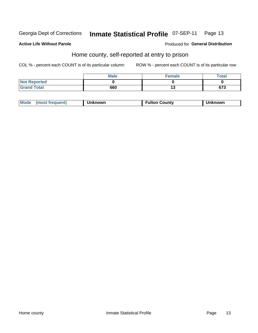#### **Inmate Statistical Profile 07-SEP-11** Page 13

### **Active Life Without Parole**

### Produced for General Distribution

### Home county, self-reported at entry to prison

COL % - percent each COUNT is of its particular column

|                     | <b>Male</b> | <b>Female</b> | <b>Total</b> |
|---------------------|-------------|---------------|--------------|
| <b>Not Reported</b> |             |               |              |
| <b>Grand Total</b>  | 660         | יי            | 673          |

| Mode<br>(most frequent) | Unknown | Fulton Countv | Unknown |
|-------------------------|---------|---------------|---------|
|-------------------------|---------|---------------|---------|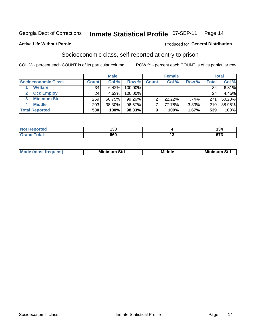#### **Inmate Statistical Profile 07-SEP-11** Page 14

### **Active Life Without Parole**

### Produced for General Distribution

### Socioeconomic class, self-reported at entry to prison

COL % - percent each COUNT is of its particular column

|                       | <b>Male</b><br><b>Female</b> |        |           | <b>Total</b> |        |       |                  |          |
|-----------------------|------------------------------|--------|-----------|--------------|--------|-------|------------------|----------|
| Socioeconomic Class   | <b>Count</b>                 | Col %  | Row %     | <b>Count</b> | Col %  | Row % | $\mathsf{Total}$ | Col %    |
| <b>Welfare</b>        | 34                           | 6.42%  | 100.00%   |              |        |       | 34               | $6.31\%$ |
| <b>Occ Employ</b>     | 24                           | 4.53%  | 100.00%   |              |        |       | 24               | 4.45%    |
| <b>Minimum Std</b>    | 269                          | 50.75% | $99.26\%$ |              | 22.22% | .74%  | 271              | 50.28%   |
| <b>Middle</b>         | 203                          | 38.30% | 96.67%    |              | 77.78% | 3.33% | 210              | 38.96%   |
| <b>Total Reported</b> | 530                          | 100%   | 98.33%    |              | 100%   | 1.67% | 539              | 100%     |

| <b>Collaboration</b><br>N | .<br>∣J∪<br>__ |        | . .<br>I J4 |
|---------------------------|----------------|--------|-------------|
|                           | 660            | $\sim$ | $\sim$      |

|  | Mo | Minin<br>Std<br>$- - - -$ | <b>Middle</b> | Min<br>Std<br>. |
|--|----|---------------------------|---------------|-----------------|
|--|----|---------------------------|---------------|-----------------|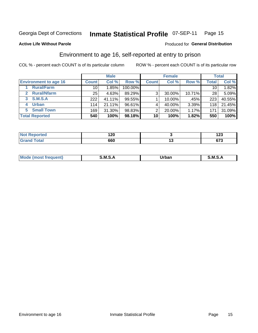## Inmate Statistical Profile 07-SEP-11 Page 15

Produced for General Distribution

### **Active Life Without Parole**

### Environment to age 16, self-reported at entry to prison

COL % - percent each COUNT is of its particular column

|                                    |              | <b>Male</b> |         |              | <b>Female</b> |        |                 | <b>Total</b> |
|------------------------------------|--------------|-------------|---------|--------------|---------------|--------|-----------------|--------------|
| <b>Environment to age 16</b>       | <b>Count</b> | Col %       | Row %   | <b>Count</b> | Col %         | Row %  | Total           | Col %        |
| <b>Rural/Farm</b>                  | 10           | 1.85%       | 100.00% |              |               |        | 10 <sub>1</sub> | 1.82%        |
| <b>Rural/Nfarm</b><br>$\mathbf{2}$ | 25           | 4.63%       | 89.29%  | 3            | 30.00%        | 10.71% | 28              | 5.09%        |
| 3 S.M.S.A                          | 222          | 41.11%      | 99.55%  |              | 10.00%        | .45%   | 223             | 40.55%       |
| <b>Urban</b><br>4                  | 114          | 21.11%      | 96.61%  |              | 40.00%        | 3.39%  | 118             | 21.45%       |
| <b>Small Town</b><br>5             | 169          | 31.30%      | 98.83%  | 2            | 20.00%        | 1.17%  | 171             | 31.09%       |
| <b>Total Reported</b>              | 540          | 100%        | 98.18%  | 10           | 100%          | 1.82%  | 550             | 100%         |

| <b>Not Reported</b> | ה ה<br>. ZV | ,<br>. د پ          |
|---------------------|-------------|---------------------|
| <b>Total</b>        | 660         | <br>~70<br>.<br>ى ، |

| Mo | M | lulaam<br>Ua.<br>_____ | M |
|----|---|------------------------|---|
|    |   |                        |   |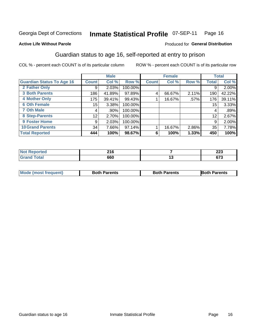#### **Inmate Statistical Profile 07-SEP-11** Page 16

### **Active Life Without Parole**

### Produced for General Distribution

### Guardian status to age 16, self-reported at entry to prison

COL % - percent each COUNT is of its particular column

|                                  |              | <b>Male</b> |         |              | <b>Female</b> |       |              | <b>Total</b> |
|----------------------------------|--------------|-------------|---------|--------------|---------------|-------|--------------|--------------|
| <b>Guardian Status To Age 16</b> | <b>Count</b> | Col %       | Row %   | <b>Count</b> | Col %         | Row % | <b>Total</b> | Col %        |
| 2 Father Only                    | 9            | 2.03%       | 100.00% |              |               |       | 9            | 2.00%        |
| <b>3 Both Parents</b>            | 186          | 41.89%      | 97.89%  | 4            | 66.67%        | 2.11% | 190          | 42.22%       |
| <b>4 Mother Only</b>             | 175          | 39.41%      | 99.43%  |              | 16.67%        | .57%  | 176          | 39.11%       |
| <b>6 Oth Female</b>              | 15           | 3.38%       | 100.00% |              |               |       | 15           | 3.33%        |
| 7 Oth Male                       | 4            | .90%        | 100.00% |              |               |       | 4            | .89%         |
| 8 Step-Parents                   | 12           | 2.70%       | 100.00% |              |               |       | 12           | 2.67%        |
| <b>9 Foster Home</b>             | 9            | 2.03%       | 100.00% |              |               |       | 9            | 2.00%        |
| <b>10 Grand Parents</b>          | 34           | 7.66%       | 97.14%  |              | 16.67%        | 2.86% | 35           | 7.78%        |
| <b>Total Reported</b>            | 444          | 100%        | 98.67%  | 6            | 100%          | 1.33% | 450          | 100%         |

| Reported | <b>04 C</b><br>$\sim$ 10 | າາາ<br>LLJ  |
|----------|--------------------------|-------------|
| Total    | 660                      | c79<br>01 J |

| <b>Mode (most frequent)</b> | <b>Both Parents</b> | <b>Both Parents</b> | <b>Both Parents</b> |
|-----------------------------|---------------------|---------------------|---------------------|
|                             |                     |                     |                     |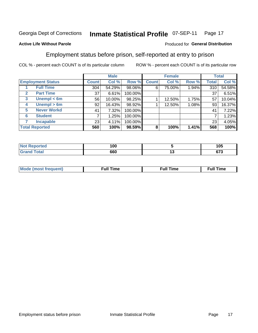#### **Inmate Statistical Profile 07-SEP-11** Page 17

### **Active Life Without Parole**

### Produced for General Distribution

### Employment status before prison, self-reported at entry to prison

COL % - percent each COUNT is of its particular column

|                                  |                 | <b>Male</b> |         |              | <b>Female</b> |       |              | <b>Total</b> |
|----------------------------------|-----------------|-------------|---------|--------------|---------------|-------|--------------|--------------|
| <b>Employment Status</b>         | <b>Count</b>    | Col %       | Row %   | <b>Count</b> | Col %         | Row % | <b>Total</b> | Col %        |
| <b>Full Time</b>                 | 304             | 54.29%      | 98.06%  | 6            | 75.00%        | 1.94% | 310          | 54.58%       |
| <b>Part Time</b><br>$\mathbf{2}$ | 37              | 6.61%       | 100.00% |              |               |       | 37           | 6.51%        |
| Unempl $<$ 6m<br>3               | 56              | 10.00%      | 98.25%  |              | 12.50%        | 1.75% | 57           | 10.04%       |
| Unempl $> 6m$<br>4               | 92              | 16.43%      | 98.92%  |              | 12.50%        | 1.08% | 93           | 16.37%       |
| <b>Never Workd</b><br>5          | 41              | 7.32%       | 100.00% |              |               |       | 41           | 7.22%        |
| <b>Student</b><br>6              |                 | 1.25%       | 100.00% |              |               |       |              | 1.23%        |
| <b>Incapable</b>                 | 23 <sub>1</sub> | 4.11%       | 100.00% |              |               |       | 23           | 4.05%        |
| <b>Total Reported</b>            | 560             | 100%        | 98.59%  | 8            | 100%          | 1.41% | 568          | 100%         |

| тес | 100 |         | <b>105</b><br>טעו  |
|-----|-----|---------|--------------------|
|     | 660 | $\cdot$ | <b>C70</b><br>נ וט |

| Mc | ∴ull | ----<br>ıme<br>w |
|----|------|------------------|
|    |      |                  |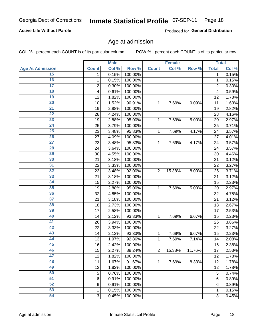#### Inmate Statistical Profile 07-SEP-11 Page 18

### **Active Life Without Parole**

Produced for General Distribution

### Age at admission

COL % - percent each COUNT is of its particular column

|                         |                 | <b>Male</b> |         |                | <b>Female</b> |        |                | <b>Total</b> |
|-------------------------|-----------------|-------------|---------|----------------|---------------|--------|----------------|--------------|
| <b>Age At Admission</b> | <b>Count</b>    | Col %       | Row %   | <b>Count</b>   | Col %         | Row %  | <b>Total</b>   | Col %        |
| 15                      | 1               | 0.15%       | 100.00% |                |               |        | 1              | 0.15%        |
| 16                      | 1               | 0.15%       | 100.00% |                |               |        | 1              | 0.15%        |
| $\overline{17}$         | $\overline{c}$  | 0.30%       | 100.00% |                |               |        | $\overline{2}$ | 0.30%        |
| 18                      | 4               | 0.61%       | 100.00% |                |               |        | 4              | 0.59%        |
| 19                      | 12              | 1.82%       | 100.00% |                |               |        | 12             | 1.78%        |
| $\overline{20}$         | 10              | 1.52%       | 90.91%  | 1              | 7.69%         | 9.09%  | 11             | 1.63%        |
| 21                      | 19              | 2.88%       | 100.00% |                |               |        | 19             | 2.82%        |
| 22                      | 28              | 4.24%       | 100.00% |                |               |        | 28             | 4.16%        |
| 23                      | 19              | 2.88%       | 95.00%  | 1              | 7.69%         | 5.00%  | 20             | 2.97%        |
| 24                      | 25              | 3.79%       | 100.00% |                |               |        | 25             | 3.71%        |
| $\overline{25}$         | 23              | 3.48%       | 95.83%  | 1              | 7.69%         | 4.17%  | 24             | 3.57%        |
| 26                      | 27              | 4.09%       | 100.00% |                |               |        | 27             | 4.01%        |
| $\overline{27}$         | 23              | 3.48%       | 95.83%  | 1              | 7.69%         | 4.17%  | 24             | 3.57%        |
| 28                      | 24              | 3.64%       | 100.00% |                |               |        | 24             | 3.57%        |
| 29                      | 30              | 4.55%       | 100.00% |                |               |        | 30             | 4.46%        |
| 30                      | 21              | 3.18%       | 100.00% |                |               |        | 21             | 3.12%        |
| 31                      | 22              | 3.33%       | 100.00% |                |               |        | 22             | 3.27%        |
| 32                      | 23              | 3.48%       | 92.00%  | $\overline{2}$ | 15.38%        | 8.00%  | 25             | 3.71%        |
| 33                      | 21              | 3.18%       | 100.00% |                |               |        | 21             | 3.12%        |
| 34                      | 15              | 2.27%       | 100.00% |                |               |        | 15             | 2.23%        |
| 35                      | 19              | 2.88%       | 95.00%  | 1              | 7.69%         | 5.00%  | 20             | 2.97%        |
| 36                      | 32              | 4.85%       | 100.00% |                |               |        | 32             | 4.75%        |
| $\overline{37}$         | 21              | 3.18%       | 100.00% |                |               |        | 21             | 3.12%        |
| 38                      | 18              | 2.73%       | 100.00% |                |               |        | 18             | 2.67%        |
| 39                      | 17              | 2.58%       | 100.00% |                |               |        | 17             | 2.53%        |
| 40                      | 14              | 2.12%       | 93.33%  | 1              | 7.69%         | 6.67%  | 15             | 2.23%        |
| 41                      | 26              | 3.94%       | 100.00% |                |               |        | 26             | 3.86%        |
| 42                      | 22              | 3.33%       | 100.00% |                |               |        | 22             | 3.27%        |
| 43                      | 14              | 2.12%       | 93.33%  | 1              | 7.69%         | 6.67%  | 15             | 2.23%        |
| 44                      | 13              | 1.97%       | 92.86%  | 1              | 7.69%         | 7.14%  | 14             | 2.08%        |
| 45                      | 16              | 2.42%       | 100.00% |                |               |        | 16             | 2.38%        |
| 46                      | 15              | 2.27%       | 88.24%  | $\overline{2}$ | 15.38%        | 11.76% | 17             | 2.53%        |
| 47                      | 12              | 1.82%       | 100.00% |                |               |        | 12             | 1.78%        |
| 48                      | 11              | 1.67%       | 91.67%  | 1              | 7.69%         | 8.33%  | 12             | 1.78%        |
| 49                      | 12              | 1.82%       | 100.00% |                |               |        | 12             | 1.78%        |
| 50                      | 5               | 0.76%       | 100.00% |                |               |        | 5              | 0.74%        |
| $\overline{51}$         | $6\phantom{1}6$ | 0.91%       | 100.00% |                |               |        | 6              | 0.89%        |
| 52                      | 6               | 0.91%       | 100.00% |                |               |        | 6              | 0.89%        |
| 53                      | 1               | 0.15%       | 100.00% |                |               |        | 1              | 0.15%        |
| 54                      | 3               | 0.45%       | 100.00% |                |               |        | 3              | 0.45%        |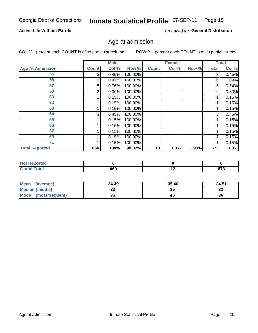#### Inmate Statistical Profile 07-SEP-11 Page 19

### **Active Life Without Parole**

Produced for General Distribution

### Age at admission

COL % - percent each COUNT is of its particular column

|                         |              | <b>Male</b> |         |              | <b>Female</b> |       |              | <b>Total</b> |
|-------------------------|--------------|-------------|---------|--------------|---------------|-------|--------------|--------------|
| <b>Age At Admission</b> | <b>Count</b> | Col %       | Row %   | <b>Count</b> | Col %         | Row % | <b>Total</b> | Col %        |
| 55                      | 3            | 0.45%       | 100.00% |              |               |       | 3            | 0.45%        |
| 56                      | 6            | 0.91%       | 100.00% |              |               |       | 6            | 0.89%        |
| 57                      | 5            | 0.76%       | 100.00% |              |               |       | 5            | 0.74%        |
| 58                      | 2            | 0.30%       | 100.00% |              |               |       | 2            | 0.30%        |
| 60                      |              | 0.15%       | 100.00% |              |               |       |              | 0.15%        |
| 62                      |              | 0.15%       | 100.00% |              |               |       |              | 0.15%        |
| 63                      |              | 0.15%       | 100.00% |              |               |       |              | 0.15%        |
| 64                      | 3            | 0.45%       | 100.00% |              |               |       | 3            | 0.45%        |
| 65                      |              | 0.15%       | 100.00% |              |               |       |              | 0.15%        |
| 66                      |              | 0.15%       | 100.00% |              |               |       |              | 0.15%        |
| 67                      |              | 0.15%       | 100.00% |              |               |       |              | 0.15%        |
| 69                      |              | 0.15%       | 100.00% |              |               |       |              | 0.15%        |
| 71                      |              | 0.15%       | 100.00% |              |               |       |              | 0.15%        |
| <b>Total Reported</b>   | 660          | 100%        | 98.07%  | 13           | 100%          | 1.93% | 673          | 100%         |

| Reported<br>NO.       |     |                 |
|-----------------------|-----|-----------------|
| <b>Total</b><br>Grand | 660 | <br>070<br>ט וט |

| Mean<br>(average)              | 34.49 | 35.46 | 34.51 |
|--------------------------------|-------|-------|-------|
| <b>Median (middle)</b>         | JJ    | 35    | 33    |
| <b>Mode</b><br>(most frequent) | 36    | 46    | 36    |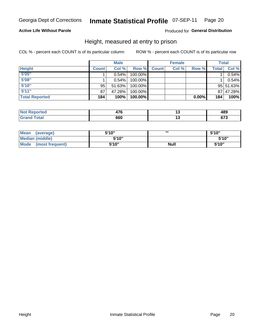#### Inmate Statistical Profile 07-SEP-11 Page 20

### **Active Life Without Parole**

### Produced for General Distribution

### Height, measured at entry to prison

COL % - percent each COUNT is of its particular column

|                       |              | <b>Male</b> |         |              | <b>Female</b> |          |       | Total     |
|-----------------------|--------------|-------------|---------|--------------|---------------|----------|-------|-----------|
| <b>Height</b>         | <b>Count</b> | Col %       | Row %   | <b>Count</b> | Col %         | Row %    | Total | Col %     |
| 5'05''                |              | 0.54%       | 100.00% |              |               |          |       | 0.54%     |
| 5'08''                |              | 0.54%       | 100.00% |              |               |          |       | 0.54%     |
| 5'10''                | 95           | 51.63%      | 100.00% |              |               |          |       | 95 51.63% |
| 5'11''                | 87           | 47.28%      | 100.00% |              |               |          |       | 87 47.28% |
| <b>Total Reported</b> | 184          | 100%        | 100.00% |              |               | $0.00\%$ | 184   | 100%      |

| <b>Not</b>                   | 170 | ៱៰៱          |
|------------------------------|-----|--------------|
| <b>Reported</b>              | . u | 40J          |
| <b>Total</b><br><b>Grand</b> | 660 | 0.70<br>ט וע |

| <b>Mean</b><br>(average)       | 5'10'' |             | 5'10"  |
|--------------------------------|--------|-------------|--------|
| Median (middle)                | 5'10"  |             | 5'10'' |
| <b>Mode</b><br>(most frequent) | 5'10'' | <b>Null</b> | 5'10"  |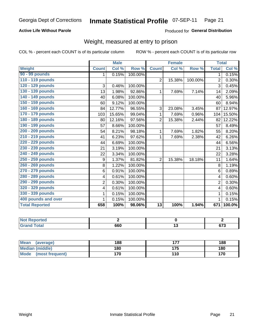#### **Inmate Statistical Profile 07-SEP-11** Page 21

### **Active Life Without Parole**

### Produced for General Distribution

### Weight, measured at entry to prison

COL % - percent each COUNT is of its particular column

|                       |                         | <b>Male</b> |         |                 | <b>Female</b> |         |                | <b>Total</b>               |
|-----------------------|-------------------------|-------------|---------|-----------------|---------------|---------|----------------|----------------------------|
| <b>Weight</b>         | <b>Count</b>            | Col %       | Row %   | <b>Count</b>    | Col %         | Row %   | <b>Total</b>   | $\overline{\text{Col }\%}$ |
| 90 - 99 pounds        | 1                       | 0.15%       | 100.00% |                 |               |         | 1.             | 0.15%                      |
| 110 - 119 pounds      |                         |             |         | $\overline{2}$  | 15.38%        | 100.00% | $\overline{2}$ | 0.30%                      |
| 120 - 129 pounds      | 3                       | 0.46%       | 100.00% |                 |               |         | 3              | 0.45%                      |
| 130 - 139 pounds      | 13                      | 1.98%       | 92.86%  | 1               | 7.69%         | 7.14%   | 14             | 2.09%                      |
| 140 - 149 pounds      | 40                      | 6.08%       | 100.00% |                 |               |         | 40             | 5.96%                      |
| 150 - 159 pounds      | 60                      | 9.12%       | 100.00% |                 |               |         | 60             | 8.94%                      |
| 160 - 169 pounds      | 84                      | 12.77%      | 96.55%  | 3               | 23.08%        | 3.45%   | 87             | 12.97%                     |
| 170 - 179 pounds      | 103                     | 15.65%      | 99.04%  | 1               | 7.69%         | 0.96%   | 104            | 15.50%                     |
| 180 - 189 pounds      | 80                      | 12.16%      | 97.56%  | $\overline{2}$  | 15.38%        | 2.44%   | 82             | 12.22%                     |
| 190 - 199 pounds      | 57                      | 8.66%       | 100.00% |                 |               |         | 57             | 8.49%                      |
| 200 - 209 pounds      | 54                      | 8.21%       | 98.18%  | 1               | 7.69%         | 1.82%   | 55             | 8.20%                      |
| 210 - 219 pounds      | 41                      | 6.23%       | 97.62%  | 1               | 7.69%         | 2.38%   | 42             | 6.26%                      |
| 220 - 229 pounds      | 44                      | 6.69%       | 100.00% |                 |               |         | 44             | 6.56%                      |
| 230 - 239 pounds      | 21                      | 3.19%       | 100.00% |                 |               |         | 21             | 3.13%                      |
| 240 - 249 pounds      | 22                      | 3.34%       | 100.00% |                 |               |         | 22             | 3.28%                      |
| 250 - 259 pounds      | 9                       | 1.37%       | 81.82%  | $\overline{2}$  | 15.38%        | 18.18%  | 11             | 1.64%                      |
| 260 - 269 pounds      | 8                       | 1.22%       | 100.00% |                 |               |         | 8              | 1.19%                      |
| 270 - 279 pounds      | 6                       | 0.91%       | 100.00% |                 |               |         | 6              | 0.89%                      |
| 280 - 289 pounds      | $\overline{\mathbf{4}}$ | 0.61%       | 100.00% |                 |               |         | $\overline{4}$ | 0.60%                      |
| 290 - 299 pounds      | $\overline{2}$          | 0.30%       | 100.00% |                 |               |         | $\overline{2}$ | 0.30%                      |
| 320 - 329 pounds      | $\overline{\mathbf{4}}$ | 0.61%       | 100.00% |                 |               |         | 4              | 0.60%                      |
| 330 - 339 pounds      | 1                       | 0.15%       | 100.00% |                 |               |         | 1              | 0.15%                      |
| 400 pounds and over   | 1                       | 0.15%       | 100.00% |                 |               |         | $\mathbf{1}$   | 0.15%                      |
| <b>Total Reported</b> | 658                     | 100%        | 98.06%  | $\overline{13}$ | 100%          | 1.94%   | 671            | 100.0%                     |

| <b>Not</b><br>Reported          |     |              |
|---------------------------------|-----|--------------|
| <b>Total</b><br>Grand<br>$\sim$ | 660 | ~70<br>0 I J |

| <b>Mean</b><br>(average) | 188 | --- | 188 |
|--------------------------|-----|-----|-----|
| <b>Median (middle)</b>   | 180 | 175 | 180 |
| Mode<br>(most frequent)  | 170 | 110 | 170 |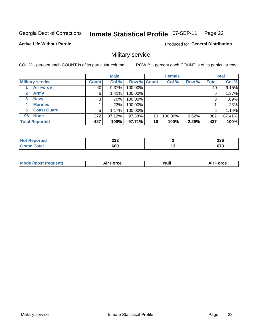#### **Inmate Statistical Profile 07-SEP-11** Page 22

**Active Life Without Parole** 

Produced for General Distribution

### Military service

COL % - percent each COUNT is of its particular column

|                             |              | <b>Male</b> |             |    | <b>Female</b> |       |              | <b>Total</b> |
|-----------------------------|--------------|-------------|-------------|----|---------------|-------|--------------|--------------|
| <b>Military service</b>     | <b>Count</b> | Col %       | Row % Count |    | Col %         | Row % | <b>Total</b> | Col %        |
| <b>Air Force</b>            | 40           | $9.37\%$    | 100.00%     |    |               |       | 40           | 9.15%        |
| $\mathbf{2}$<br><b>Army</b> | 6            | 1.41%       | 100.00%     |    |               |       | 6            | 1.37%        |
| <b>Navy</b><br>3            | 3            | .70%        | 100.00%     |    |               |       | 3            | .69%         |
| <b>Marines</b><br>4         |              | .23%        | 100.00%     |    |               |       |              | .23%         |
| <b>Coast Guard</b><br>5     | 5            | 1.17%       | 100.00%     |    |               |       | 5            | 1.14%        |
| <b>None</b><br>96           | 372          | 87.12%      | 97.38%      | 10 | 100.00%       | 2.62% | 382          | 87.41%       |
| <b>Total Reported</b>       | 427          | 100%        | 97.71%      | 10 | 100%          | 2.29% | 437          | 100%         |

| <u>orted</u> | ົາາາ<br>∠ວວ<br>__ | つつC<br>290     |
|--------------|-------------------|----------------|
| Гоtal        | 660               | <br>~70<br>v1. |

|  |  | <b>Mode</b><br>uent)<br>most tren | Force<br>Aır | <b>Null</b> | orce |
|--|--|-----------------------------------|--------------|-------------|------|
|--|--|-----------------------------------|--------------|-------------|------|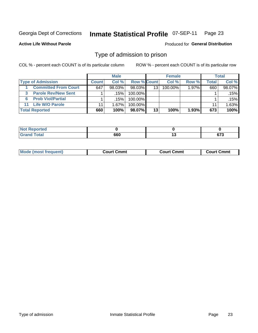#### **Inmate Statistical Profile 07-SEP-11** Page 23

**Active Life Without Parole** 

Produced for General Distribution

### Type of admission to prison

COL % - percent each COUNT is of its particular column

|                                 |              | <b>Male</b> |                    |    | <b>Female</b> |          |       | Total  |
|---------------------------------|--------------|-------------|--------------------|----|---------------|----------|-------|--------|
| <b>Type of Admission</b>        | <b>Count</b> | Col %       | <b>Row % Count</b> |    | Col %         | Row %    | Total | Col %  |
| <b>Committed From Court</b>     | 647          | $98.03\%$   | 98.03%             | 13 | 100.00%       | $1.97\%$ | 660   | 98.07% |
| <b>Parole Rev/New Sent</b><br>3 |              | .15%        | 100.00%            |    |               |          |       | .15% l |
| <b>Prob Viol/Partial</b><br>6.  |              | .15%        | 100.00%            |    |               |          |       | .15%   |
| 11 Life W/O Parole              | 11           | 1.67%       | 100.00%            |    |               |          | 11    | 1.63%  |
| <b>Total Reported</b>           | 660          | 100%        | 98.07%             | 13 | 100%          | $1.93\%$ | 673   | 100%   |

| orted                             |     |                |
|-----------------------------------|-----|----------------|
| $f \circ f \circ f$<br><b>. .</b> | 660 | $\sim$<br>נ וט |

| <b>Mode (most frequent)</b><br>Court Cmmt<br>Court Cmmt<br>Court Cmmt |
|-----------------------------------------------------------------------|
|-----------------------------------------------------------------------|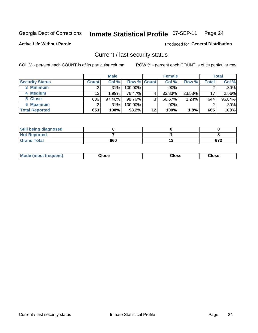## Inmate Statistical Profile 07-SEP-11 Page 24

**Active Life Without Parole** 

Produced for General Distribution

### Current / last security status

COL % - percent each COUNT is of its particular column

|                        |              | <b>Male</b> |                    |    | <b>Female</b> |        |       | <b>Total</b> |
|------------------------|--------------|-------------|--------------------|----|---------------|--------|-------|--------------|
| <b>Security Status</b> | <b>Count</b> | Col%        | <b>Row % Count</b> |    | Col %         | Row %  | Total | Col %        |
| 3 Minimum              |              | $.31\%$     | 100.00%            |    | $.00\%$       |        |       | $.30\%$      |
| 4 Medium               | 13           | 1.99%       | 76.47%             | 4  | 33.33%        | 23.53% | 17    | 2.56%        |
| 5 Close                | 636          | 97.40%      | 98.76%             | 8  | 66.67%        | 1.24%  | 644   | 96.84%       |
| 6 Maximum              |              | .31%        | 100.00%            |    | .00%          |        |       | $.30\%$      |
| <b>Total Reported</b>  | 653          | 100%        | 98.2%              | 12 | 100%          | 1.8%   | 665   | 100%         |

| <b>Still being diagnosed</b> |     |    |     |
|------------------------------|-----|----|-----|
| <b>Not Reported</b>          |     |    |     |
| <b>Grand Total</b>           | 660 | IJ | 673 |

| <b>Mode</b><br>'requent)<br>۔lose<br>Close<br>Close<br>n iması .<br>- - - -<br>- - - -<br>- - - - |  |
|---------------------------------------------------------------------------------------------------|--|
|---------------------------------------------------------------------------------------------------|--|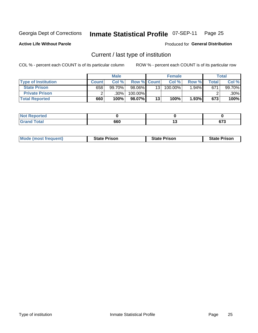#### Inmate Statistical Profile 07-SEP-11 Page 25

**Active Life Without Parole** 

Produced for General Distribution

### Current / last type of institution

COL % - percent each COUNT is of its particular column

|                            |              | <b>Male</b> |             |                 | <b>Female</b> |       |       | <b>Total</b> |
|----------------------------|--------------|-------------|-------------|-----------------|---------------|-------|-------|--------------|
| <b>Type of Institution</b> | <b>Count</b> | Col%        | Row % Count |                 | Col %         | Row % | Total | Col %        |
| <b>State Prison</b>        | 658          | $99.70\%$   | 98.06%      | 13 <sup>1</sup> | 100.00%       | 1.94% | 671   | 99.70%       |
| <b>Private Prison</b>      |              | .30%        | 100.00%     |                 |               |       |       | $.30\%$      |
| <b>Total Reported</b>      | 660          | 100%        | 98.07%      | 13 <sub>1</sub> | 100%          | 1.93% | 673   | 100%         |

| <b>rted</b> |     |    |                |
|-------------|-----|----|----------------|
| <b>otal</b> | 660 | יי | $\sim$<br>ט וט |

| <b>Mode (most frequent)</b> | <b>State Prison</b> | <b>State Prison</b> | <b>State Prison</b> |
|-----------------------------|---------------------|---------------------|---------------------|
|                             |                     |                     |                     |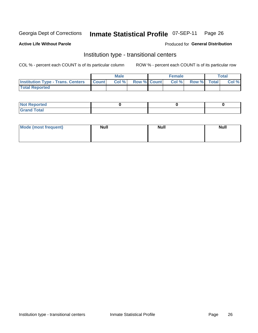#### **Inmate Statistical Profile 07-SEP-11** Page 26

### **Active Life Without Parole**

### Produced for General Distribution

### Institution type - transitional centers

COL % - percent each COUNT is of its particular column

|                                                | <b>Male</b> |                          | <b>Female</b> |             | Total |
|------------------------------------------------|-------------|--------------------------|---------------|-------------|-------|
| <b>Institution Type - Trans. Centers Count</b> |             | <b>Col %</b> Row % Count | Col%          | Row % Total | Col % |
| <b>Total Reported</b>                          |             |                          |               |             |       |

| <b>Reported</b><br><b>NOT</b>  |  |  |
|--------------------------------|--|--|
| $n+n$<br>C <sub>r</sub><br>--- |  |  |

| Mode (most frequent) | <b>Null</b> | <b>Null</b> | <b>Null</b> |
|----------------------|-------------|-------------|-------------|
|                      |             |             |             |
|                      |             |             |             |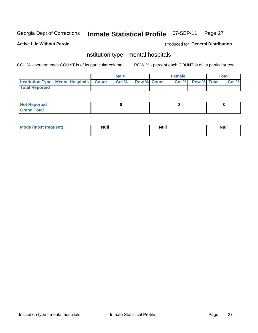#### **Inmate Statistical Profile 07-SEP-11** Page 27

### **Active Life Without Parole**

### Produced for General Distribution

### Institution type - mental hospitals

COL % - percent each COUNT is of its particular column

|                                                  | Male  |                    | <b>Female</b> |                   | <b>Total</b> |
|--------------------------------------------------|-------|--------------------|---------------|-------------------|--------------|
| <b>Institution Type - Mental Hospitals Count</b> | Col % | <b>Row % Count</b> |               | Col % Row % Total | Col %        |
| <b>Total Reported</b>                            |       |                    |               |                   |              |

| <b>Not Reported</b>   |  |  |
|-----------------------|--|--|
| <b>Total</b><br>_____ |  |  |

| Mode.<br>frequent) | <b>Nul</b><br>_____ | <b>Null</b> | <b>Null</b> |
|--------------------|---------------------|-------------|-------------|
|                    |                     |             |             |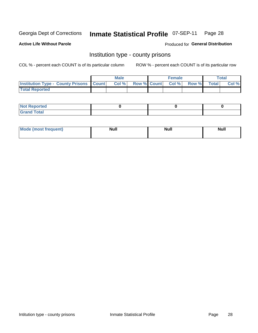## Inmate Statistical Profile 07-SEP-11 Page 28

**Active Life Without Parole** 

Produced for General Distribution

### Institution type - county prisons

COL % - percent each COUNT is of its particular column

|                                                    | <b>Male</b> |  | <b>Female</b>            |             | <b>Total</b> |
|----------------------------------------------------|-------------|--|--------------------------|-------------|--------------|
| <b>Institution Type - County Prisons   Count  </b> | Col %       |  | <b>Row % Count Col %</b> | Row % Total | Col %        |
| <b>Total Reported</b>                              |             |  |                          |             |              |

| <b>Not Reported</b>         |  |  |
|-----------------------------|--|--|
| <b>Total</b><br>-<br>______ |  |  |

| <b>Mode</b>      | <b>Null</b> | <b>Null</b> | <b>Null</b> |
|------------------|-------------|-------------|-------------|
| (most freauent). |             |             |             |
|                  |             |             |             |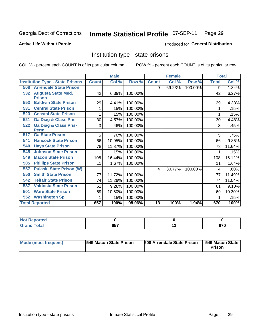#### Inmate Statistical Profile 07-SEP-11 Page 29

### **Active Life Without Parole**

### Produced for General Distribution

### Institution type - state prisons

COL % - percent each COUNT is of its particular column

|                       |                                         |              | <b>Male</b> |         |              | <b>Female</b> |         | <b>Total</b> |        |
|-----------------------|-----------------------------------------|--------------|-------------|---------|--------------|---------------|---------|--------------|--------|
|                       | <b>Institution Type - State Prisons</b> | <b>Count</b> | Col %       | Row %   | <b>Count</b> | Col %         | Row %   | <b>Total</b> | Col %  |
| 508                   | <b>Arrendale State Prison</b>           |              |             |         | 9            | 69.23%        | 100.00% | 9            | 1.34%  |
| 532                   | <b>Augusta State Med.</b>               | 42           | 6.39%       | 100.00% |              |               |         | 42           | 6.27%  |
| <b>Prison</b>         |                                         |              |             |         |              |               |         |              |        |
| 553                   | <b>Baldwin State Prison</b>             | 29           | 4.41%       | 100.00% |              |               |         | 29           | 4.33%  |
| 531                   | <b>Central State Prison</b>             | 1            | .15%        | 100.00% |              |               |         |              | .15%   |
| 523                   | <b>Coastal State Prison</b>             | 1            | .15%        | 100.00% |              |               |         |              | .15%   |
| 521                   | <b>Ga Diag &amp; Class Pris</b>         | 30           | 4.57%       | 100.00% |              |               |         | 30           | 4.48%  |
| 522                   | <b>Ga Diag &amp; Class Pris-</b>        | 3            | .46%        | 100.00% |              |               |         | 3            | .45%   |
| <b>Perm</b>           |                                         |              |             |         |              |               |         |              |        |
| 517                   | <b>Ga State Prison</b>                  | 5            | .76%        | 100.00% |              |               |         | 5            | .75%   |
| 541                   | <b>Hancock State Prison</b>             | 66           | 10.05%      | 100.00% |              |               |         | 66           | 9.85%  |
| 540                   | <b>Hays State Prison</b>                | 78           | 11.87%      | 100.00% |              |               |         | 78           | 11.64% |
| 545                   | <b>Johnson State Prison</b>             | 1            | .15%        | 100.00% |              |               |         |              | .15%   |
| 549                   | <b>Macon State Prison</b>               | 108          | 16.44%      | 100.00% |              |               |         | 108          | 16.12% |
| 505                   | <b>Phillips State Prison</b>            | 11           | 1.67%       | 100.00% |              |               |         | 11           | 1.64%  |
| 557                   | <b>Pulaski State Prison (W)</b>         |              |             |         | 4            | 30.77%        | 100.00% | 4            | .60%   |
| 550                   | <b>Smith State Prison</b>               | 77           | 11.72%      | 100.00% |              |               |         | 77           | 11.49% |
| 542                   | <b>Telfair State Prison</b>             | 74           | 11.26%      | 100.00% |              |               |         | 74           | 11.04% |
| 537                   | <b>Valdosta State Prison</b>            | 61           | 9.28%       | 100.00% |              |               |         | 61           | 9.10%  |
| 501                   | <b>Ware State Prison</b>                | 69           | 10.50%      | 100.00% |              |               |         | 69           | 10.30% |
| 552                   | <b>Washington Sp</b>                    | 1            | .15%        | 100.00% |              |               |         |              | .15%   |
| <b>Total Reported</b> |                                         | 657          | 100%        | 98.06%  | 13           | 100%          | 1.94%   | 670          | 100%   |

| тен                   |     |              |
|-----------------------|-----|--------------|
| $rac{1}{2}$<br>$\sim$ | 657 | $\sim$<br>v, |

| Mode (most frequent) | <b>1549 Macon State Prison</b> | <b>508 Arrendale State Prison   549 Macon State</b> | Prison |
|----------------------|--------------------------------|-----------------------------------------------------|--------|
|----------------------|--------------------------------|-----------------------------------------------------|--------|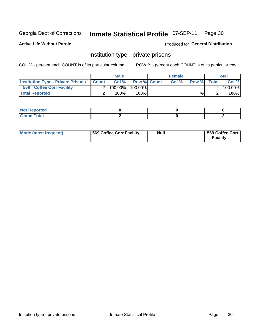## Inmate Statistical Profile 07-SEP-11 Page 30

**Active Life Without Parole** 

Produced for General Distribution

### Institution type - private prisons

COL % - percent each COUNT is of its particular column

|                                           |              | Male      |                    | <b>Female</b> |       |              | Total   |
|-------------------------------------------|--------------|-----------|--------------------|---------------|-------|--------------|---------|
| <b>Institution Type - Private Prisons</b> | <b>Count</b> | Col%      | <b>Row % Count</b> | Col%          | Row % | <b>Total</b> | Col %   |
| 569<br><b>Coffee Corr Facility</b>        |              | 100.00%   | 100.00%            |               |       |              | 100.00% |
| <b>Total Reported</b>                     |              | $100\%$ . | 100%               |               | %     |              | 100%    |

| Not Reported                |  |  |
|-----------------------------|--|--|
| $\cdots$ $\cdots$<br>______ |  |  |

| Mode (most frequent) | 569 Coffee Corr Facility | <b>Null</b> | 569 Coffee Corr<br><b>Facility</b> |
|----------------------|--------------------------|-------------|------------------------------------|
|----------------------|--------------------------|-------------|------------------------------------|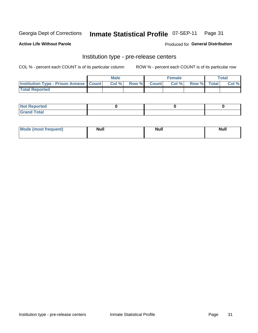## Inmate Statistical Profile 07-SEP-11 Page 31

**Active Life Without Parole** 

**Produced for General Distribution** 

### Institution type - pre-release centers

COL % - percent each COUNT is of its particular column

|                                                   | <b>Male</b> |              |              | Female |             | <b>Total</b> |
|---------------------------------------------------|-------------|--------------|--------------|--------|-------------|--------------|
| <b>Institution Type - Prison Annexe   Count  </b> | Col %       | <b>Row %</b> | <b>Count</b> | Col %  | Row % Total | Col %        |
| <b>Total Reported</b>                             |             |              |              |        |             |              |

| <b>Reported</b><br>I NOT |  |  |
|--------------------------|--|--|
| <b>Total</b><br>$C$ ren  |  |  |

| Mor<br><b>ruent</b> )<br>rea<br>nos | <b>Null</b> | <b>Moll</b><br>_____ | . .<br><b>Null</b> |
|-------------------------------------|-------------|----------------------|--------------------|
|                                     |             |                      |                    |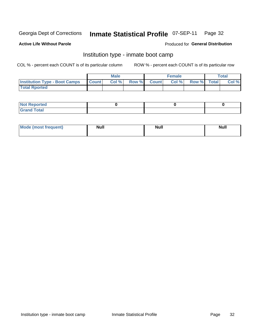#### **Inmate Statistical Profile 07-SEP-11** Page 32

### **Active Life Without Parole**

### Produced for General Distribution

### Institution type - inmate boot camp

COL % - percent each COUNT is of its particular column

|                                            | <b>Male</b> |             | <b>Female</b> |             | <b>Total</b> |
|--------------------------------------------|-------------|-------------|---------------|-------------|--------------|
| <b>Institution Type - Boot Camps Count</b> | Col %       | Row % Count | Col %         | Row % Total | Col %        |
| <b>Total Rported</b>                       |             |             |               |             |              |

| <b>Not Reported</b>            |  |  |
|--------------------------------|--|--|
| <b>Total</b><br>C <sub>r</sub> |  |  |

| Mode (most<br>Treauent) | <b>Null</b> | . .<br><b>Nu</b> |  |
|-------------------------|-------------|------------------|--|
|                         |             |                  |  |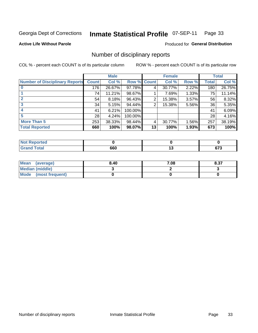#### Inmate Statistical Profile 07-SEP-11 Page 33

**Active Life Without Parole** 

**Produced for General Distribution** 

### Number of disciplinary reports

COL % - percent each COUNT is of its particular column

|                                       |              | <b>Male</b> |             |    | <b>Female</b> |       |       | <b>Total</b> |
|---------------------------------------|--------------|-------------|-------------|----|---------------|-------|-------|--------------|
| <b>Number of Disciplinary Reports</b> | <b>Count</b> | Col %       | Row % Count |    | Col %         | Row % | Total | Col %        |
|                                       | 176          | 26.67%      | 97.78%      | 4  | 30.77%        | 2.22% | 180   | 26.75%       |
|                                       | 74           | 11.21%      | 98.67%      |    | 7.69%         | 1.33% | 75    | 11.14%       |
|                                       | 54           | 8.18%       | 96.43%      | 2  | 15.38%        | 3.57% | 56    | 8.32%        |
| 3                                     | 34           | 5.15%       | 94.44%      | 2  | 15.38%        | 5.56% | 36    | 5.35%        |
|                                       | 41           | 6.21%       | 100.00%     |    |               |       | 41    | 6.09%        |
| 5                                     | 28           | 4.24%       | 100.00%     |    |               |       | 28    | 4.16%        |
| <b>More Than 5</b>                    | 253          | 38.33%      | 98.44%      | 4  | 30.77%        | 1.56% | 257   | 38.19%       |
| <b>Total Reported</b>                 | 660          | 100%        | 98.07%      | 13 | 100%          | 1.93% | 673   | 100%         |

| <b>orted</b><br>NO.  |     |              |
|----------------------|-----|--------------|
| <b>Total</b><br>Croi | 660 | $\sim$<br>v. |

| Mean (average)       | 8.40 | 7.08 | 8.37 |
|----------------------|------|------|------|
| Median (middle)      |      |      |      |
| Mode (most frequent) |      |      |      |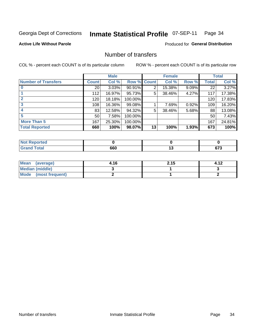#### **Inmate Statistical Profile 07-SEP-11** Page 34

**Active Life Without Parole** 

**Produced for General Distribution** 

### Number of transfers

COL % - percent each COUNT is of its particular column

|                            |                 | <b>Male</b> |             |    | <b>Female</b> |          |       | <b>Total</b> |
|----------------------------|-----------------|-------------|-------------|----|---------------|----------|-------|--------------|
| <b>Number of Transfers</b> | <b>Count</b>    | Col %       | Row % Count |    | Col %         | Row %    | Total | Col %        |
|                            | 20 <sub>1</sub> | 3.03%       | 90.91%      | 2  | 15.38%        | $9.09\%$ | 22    | 3.27%        |
|                            | 112             | 16.97%      | 95.73%      | 5  | 38.46%        | 4.27%    | 117   | 17.38%       |
| $\mathbf{2}$               | 120             | 18.18%      | 100.00%     |    |               |          | 120   | 17.83%       |
| 3                          | 108             | 16.36%      | 99.08%      |    | 7.69%         | 0.92%    | 109   | 16.20%       |
|                            | 83              | 12.58%      | 94.32%      | 5  | 38.46%        | 5.68%    | 88    | 13.08%       |
| 5                          | 50 <sub>1</sub> | 7.58%       | 100.00%     |    |               |          | 50    | 7.43%        |
| <b>More Than 5</b>         | 167             | 25.30%      | 100.00%     |    |               |          | 167   | 24.81%       |
| <b>Total Reported</b>      | 660             | 100%        | 98.07%      | 13 | 100%          | 1.93%    | 673   | 100%         |

| <b>Not Reported</b> |     |               |
|---------------------|-----|---------------|
| <b>f</b> otal       | 660 | $\sim$<br>v1. |

| Mean (average)       | 4.16 | 2.15 |  |
|----------------------|------|------|--|
| Median (middle)      |      |      |  |
| Mode (most frequent) |      |      |  |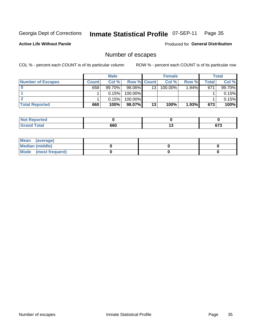## Inmate Statistical Profile 07-SEP-11 Page 35

**Active Life Without Parole** 

**Produced for General Distribution** 

### Number of escapes

COL % - percent each COUNT is of its particular column

|                          |              | <b>Male</b> |                    |    | <b>Female</b> |       |       | <b>Total</b> |
|--------------------------|--------------|-------------|--------------------|----|---------------|-------|-------|--------------|
| <b>Number of Escapes</b> | <b>Count</b> | Col%        | <b>Row % Count</b> |    | Col %         | Row % | Total | Col %        |
|                          | 658          | 99.70%      | 98.06%             | 13 | 100.00%       | 1.94% | 671   | 99.70%       |
|                          |              | 0.15%       | 100.00%            |    |               |       |       | 0.15%        |
|                          |              | 0.15%       | 100.00%            |    |               |       |       | 0.15%        |
| <b>Total Reported</b>    | 660          | 100%        | 98.07%             | 13 | 100%          | 1.93% | 673   | 100%         |

| <b>Not Reported</b>   |     |     |                |
|-----------------------|-----|-----|----------------|
| <b>Total</b><br>Grand | 660 | . . | $\sim$<br>ט וט |

| Mean (average)       |  |  |
|----------------------|--|--|
| Median (middle)      |  |  |
| Mode (most frequent) |  |  |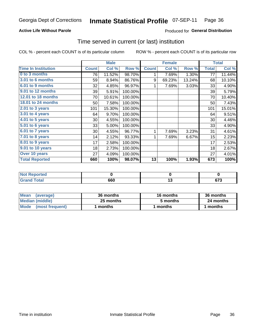#### **Inmate Statistical Profile 07-SEP-11** Page 36

### **Active Life Without Parole**

### **Produced for General Distribution**

### Time served in current (or last) institution

COL % - percent each COUNT is of its particular column

|                            |              | <b>Male</b> |         |              | <b>Female</b> |        |              | <b>Total</b> |
|----------------------------|--------------|-------------|---------|--------------|---------------|--------|--------------|--------------|
| <b>Time In Institution</b> | <b>Count</b> | Col %       | Row %   | <b>Count</b> | Col %         | Row %  | <b>Total</b> | Col %        |
| 0 to 3 months              | 76           | 11.52%      | 98.70%  | 1            | 7.69%         | 1.30%  | 77           | 11.44%       |
| <b>3.01 to 6 months</b>    | 59           | 8.94%       | 86.76%  | 9            | 69.23%        | 13.24% | 68           | 10.10%       |
| 6.01 to 9 months           | 32           | 4.85%       | 96.97%  | 1            | 7.69%         | 3.03%  | 33           | 4.90%        |
| 9.01 to 12 months          | 39           | 5.91%       | 100.00% |              |               |        | 39           | 5.79%        |
| 12.01 to 18 months         | 70           | 10.61%      | 100.00% |              |               |        | 70           | 10.40%       |
| 18.01 to 24 months         | 50           | 7.58%       | 100.00% |              |               |        | 50           | 7.43%        |
| 2.01 to 3 years            | 101          | 15.30%      | 100.00% |              |               |        | 101          | 15.01%       |
| 3.01 to 4 years            | 64           | 9.70%       | 100.00% |              |               |        | 64           | 9.51%        |
| 4.01 to 5 years            | 30           | 4.55%       | 100.00% |              |               |        | 30           | 4.46%        |
| 5.01 to 6 years            | 33           | 5.00%       | 100.00% |              |               |        | 33           | 4.90%        |
| 6.01 to 7 years            | 30           | 4.55%       | 96.77%  | 1            | 7.69%         | 3.23%  | 31           | 4.61%        |
| 7.01 to 8 years            | 14           | 2.12%       | 93.33%  | 1            | 7.69%         | 6.67%  | 15           | 2.23%        |
| 8.01 to 9 years            | 17           | 2.58%       | 100.00% |              |               |        | 17           | 2.53%        |
| 9.01 to 10 years           | 18           | 2.73%       | 100.00% |              |               |        | 18           | 2.67%        |
| Over 10 years              | 27           | 4.09%       | 100.00% |              |               |        | 27           | 4.01%        |
| <b>Total Reported</b>      | 660          | 100%        | 98.07%  | 13           | 100%          | 1.93%  | 673          | 100%         |

| orted  |     |     |             |
|--------|-----|-----|-------------|
| .'nta' | 660 | $-$ | ^¬^<br>נ וט |

| <b>Mean</b><br>(average) | 36 months | 16 months | 36 months |
|--------------------------|-----------|-----------|-----------|
| Median (middle)          | 25 months | 5 months  | 24 months |
| Mode (most frequent)     | months    | 1 months  | 1 months  |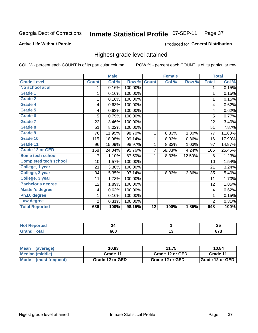#### **Inmate Statistical Profile 07-SEP-11** Page 37

**Active Life Without Parole** 

Produced for General Distribution

## Highest grade level attained

COL % - percent each COUNT is of its particular column

|                              |                | <b>Male</b> |         |                 | <b>Female</b> |        |                | <b>Total</b> |
|------------------------------|----------------|-------------|---------|-----------------|---------------|--------|----------------|--------------|
| <b>Grade Level</b>           | <b>Count</b>   | Col %       | Row %   | <b>Count</b>    | Col %         | Row %  | <b>Total</b>   | Col %        |
| No school at all             | 1              | 0.16%       | 100.00% |                 |               |        | 1              | 0.15%        |
| <b>Grade 1</b>               |                | 0.16%       | 100.00% |                 |               |        | 1              | 0.15%        |
| <b>Grade 2</b>               | 1              | 0.16%       | 100.00% |                 |               |        | 1              | 0.15%        |
| <b>Grade 4</b>               | 4              | 0.63%       | 100.00% |                 |               |        | 4              | 0.62%        |
| Grade 5                      | 4              | 0.63%       | 100.00% |                 |               |        | 4              | 0.62%        |
| Grade 6                      | 5              | 0.79%       | 100.00% |                 |               |        | 5              | 0.77%        |
| <b>Grade 7</b>               | 22             | 3.46%       | 100.00% |                 |               |        | 22             | 3.40%        |
| <b>Grade 8</b>               | 51             | 8.02%       | 100.00% |                 |               |        | 51             | 7.87%        |
| <b>Grade 9</b>               | 76             | 11.95%      | 98.70%  | 1               | 8.33%         | 1.30%  | 77             | 11.88%       |
| Grade 10                     | 115            | 18.08%      | 99.14%  | 1               | 8.33%         | 0.86%  | 116            | 17.90%       |
| Grade 11                     | 96             | 15.09%      | 98.97%  | 1               | 8.33%         | 1.03%  | 97             | 14.97%       |
| <b>Grade 12 or GED</b>       | 158            | 24.84%      | 95.76%  | 7               | 58.33%        | 4.24%  | 165            | 25.46%       |
| <b>Some tech school</b>      | 7              | 1.10%       | 87.50%  |                 | 8.33%         | 12.50% | 8              | 1.23%        |
| <b>Completed tech school</b> | 10             | 1.57%       | 100.00% |                 |               |        | 10             | 1.54%        |
| College, 1 year              | 21             | 3.30%       | 100.00% |                 |               |        | 21             | 3.24%        |
| College, 2 year              | 34             | 5.35%       | 97.14%  | 1               | 8.33%         | 2.86%  | 35             | 5.40%        |
| College, 3 year              | 11             | 1.73%       | 100.00% |                 |               |        | 11             | 1.70%        |
| <b>Bachelor's degree</b>     | 12             | 1.89%       | 100.00% |                 |               |        | 12             | 1.85%        |
| <b>Master's degree</b>       | 4              | 0.63%       | 100.00% |                 |               |        | 4              | 0.62%        |
| Ph.D. degree                 |                | 0.16%       | 100.00% |                 |               |        | 1              | 0.15%        |
| Law degree                   | $\overline{2}$ | 0.31%       | 100.00% |                 |               |        | $\overline{2}$ | 0.31%        |
| <b>Total Reported</b>        | 636            | 100%        | 98.15%  | $\overline{12}$ | 100%          | 1.85%  | 648            | 100%         |

| orreg      | $ -$ | ሳር<br>~   |
|------------|------|-----------|
| <b>ota</b> | 660  | ~-~<br>v. |

| Mean<br>(average)    | 10.83           | 11.75           | 10.84                    |
|----------------------|-----------------|-----------------|--------------------------|
| Median (middle)      | Grade 11        | Grade 12 or GED | Grade 11                 |
| Mode (most frequent) | Grade 12 or GED | Grade 12 or GED | <b>I</b> Grade 12 or GED |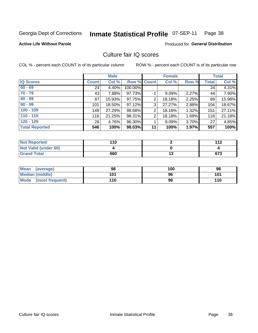# Inmate Statistical Profile 07-SEP-11 Page 38

#### **Active Life Without Parole**

Produced for General Distribution

## Culture fair IQ scores

COL % - percent each COUNT is of its particular column

|                       |              | <b>Male</b> |                    |                | <b>Female</b> |          |              | <b>Total</b> |
|-----------------------|--------------|-------------|--------------------|----------------|---------------|----------|--------------|--------------|
| <b>IQ Scores</b>      | <b>Count</b> | Col %       | <b>Row % Count</b> |                | Col %         | Row %    | <b>Total</b> | Col %        |
| $60 - 69$             | 24           | 4.40%       | 100.00%            |                |               |          | 24           | 4.31%        |
| $70 - 79$             | 43           | 7.88%       | 97.73%             |                | 9.09%         | 2.27%    | 44           | 7.90%        |
| $80 - 89$             | 87           | 15.93%      | 97.75%             | 2              | 18.18%        | 2.25%    | 89           | 15.98%       |
| $90 - 99$             | 101          | 18.50%      | 97.12%             | 3              | 27.27%        | $2.88\%$ | 104          | 18.67%       |
| $100 - 109$           | 149          | 27.29%      | 98.68%             | $\overline{2}$ | 18.18%        | 1.32%    | 151          | 27.11%       |
| $110 - 119$           | 116          | 21.25%      | 98.31%             | 2              | 18.18%        | 1.69%    | 118          | 21.18%       |
| $120 - 129$           | 26           | 4.76%       | 96.30%             |                | 9.09%         | 3.70%    | 27           | 4.85%        |
| <b>Total Reported</b> | 546          | 100%        | 98.03%             | 11             | 100%          | 1.97%    | 557          | 100%         |

| <b>Not Reported</b>         | 110 |     | 112 |
|-----------------------------|-----|-----|-----|
| <b>Not Valid (under 60)</b> |     |     |     |
| <b>Grand Total</b>          | 660 | 1 v | 673 |

| <b>Mean</b><br>(average)       | 98  | 100 | 98  |
|--------------------------------|-----|-----|-----|
| <b>Median (middle)</b>         | 101 | 96  | 101 |
| <b>Mode</b><br>(most frequent) | 110 | 96  | 110 |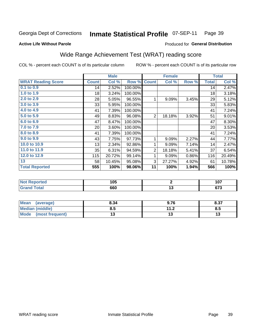#### **Inmate Statistical Profile 07-SEP-11** Page 39

#### **Active Life Without Parole**

# **Produced for General Distribution**

## Wide Range Achievement Test (WRAT) reading score

COL % - percent each COUNT is of its particular column

|                           |              | <b>Male</b> |         |                | <b>Female</b> |       |              | <b>Total</b> |
|---------------------------|--------------|-------------|---------|----------------|---------------|-------|--------------|--------------|
| <b>WRAT Reading Score</b> | <b>Count</b> | Col %       | Row %   | <b>Count</b>   | Col %         | Row % | <b>Total</b> | Col %        |
| 0.1 to 0.9                | 14           | 2.52%       | 100.00% |                |               |       | 14           | 2.47%        |
| 1.0 to 1.9                | 18           | 3.24%       | 100.00% |                |               |       | 18           | 3.18%        |
| 2.0 to 2.9                | 28           | 5.05%       | 96.55%  | 1              | 9.09%         | 3.45% | 29           | 5.12%        |
| 3.0 to 3.9                | 33           | 5.95%       | 100.00% |                |               |       | 33           | 5.83%        |
| 4.0 to 4.9                | 41           | 7.39%       | 100.00% |                |               |       | 41           | 7.24%        |
| 5.0 to 5.9                | 49           | 8.83%       | 96.08%  | $\overline{2}$ | 18.18%        | 3.92% | 51           | 9.01%        |
| 6.0 to 6.9                | 47           | 8.47%       | 100.00% |                |               |       | 47           | 8.30%        |
| 7.0 to 7.9                | 20           | 3.60%       | 100.00% |                |               |       | 20           | 3.53%        |
| 8.0 to 8.9                | 41           | 7.39%       | 100.00% |                |               |       | 41           | 7.24%        |
| 9.0 to 9.9                | 43           | 7.75%       | 97.73%  | 1              | 9.09%         | 2.27% | 44           | 7.77%        |
| 10.0 to 10.9              | 13           | 2.34%       | 92.86%  | 1              | 9.09%         | 7.14% | 14           | 2.47%        |
| 11.0 to 11.9              | 35           | 6.31%       | 94.59%  | $\overline{2}$ | 18.18%        | 5.41% | 37           | 6.54%        |
| 12.0 to 12.9              | 115          | 20.72%      | 99.14%  | 1              | 9.09%         | 0.86% | 116          | 20.49%       |
| 13                        | 58           | 10.45%      | 95.08%  | 3              | 27.27%        | 4.92% | 61           | 10.78%       |
| <b>Total Reported</b>     | 555          | 100%        | 98.06%  | 11             | 100%          | 1.94% | 566          | 100%         |
|                           |              |             |         |                |               |       |              |              |
|                           |              |             |         |                |               |       |              |              |

| <b>Not</b>      | 1 N.C |    | 1 N.T                  |
|-----------------|-------|----|------------------------|
| <b>Reported</b> | ט ו   |    | 1 U I                  |
| <b>jotal</b>    | 660   | ю, | $\sim$<br><u>u i j</u> |

| <b>Mean</b><br>(average) | 8.34 | 9.76                | 0.27<br>0.31 |
|--------------------------|------|---------------------|--------------|
| <b>Median (middle)</b>   | 8.5  | 112<br>. . <u>.</u> | Ծ.J          |
| Mode<br>(most frequent)  |      |                     | IJ           |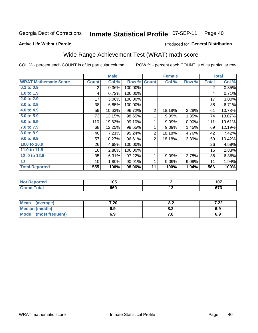#### **Inmate Statistical Profile 07-SEP-11** Page 40

**Produced for General Distribution** 

#### **Active Life Without Parole**

## Wide Range Achievement Test (WRAT) math score

COL % - percent each COUNT is of its particular column

|                              |              | <b>Male</b> |         |                | <b>Female</b>   |       |              | <b>Total</b> |
|------------------------------|--------------|-------------|---------|----------------|-----------------|-------|--------------|--------------|
| <b>WRAT Mathematic Score</b> | <b>Count</b> | Col %       | Row %   | <b>Count</b>   | Col %           | Row % | <b>Total</b> | Col %        |
| 0.1 to 0.9                   | 2            | 0.36%       | 100.00% |                |                 |       | 2            | 0.35%        |
| 1.0 to 1.9                   | 4            | 0.72%       | 100.00% |                |                 |       | 4            | 0.71%        |
| 2.0 to 2.9                   | 17           | 3.06%       | 100.00% |                |                 |       | 17           | 3.00%        |
| 3.0 to 3.9                   | 38           | 6.85%       | 100.00% |                |                 |       | 38           | 6.71%        |
| 4.0 to 4.9                   | 59           | 10.63%      | 96.72%  | $\overline{2}$ | 18.18%          | 3.28% | 61           | 10.78%       |
| 5.0 to 5.9                   | 73           | 13.15%      | 98.65%  | 1              | 9.09%           | 1.35% | 74           | 13.07%       |
| 6.0 to 6.9                   | 110          | 19.82%      | 99.10%  | 1              | 9.09%           | 0.90% | 111          | 19.61%       |
| 7.0 to 7.9                   | 68           | 12.25%      | 98.55%  | 1              | 9.09%           | 1.45% | 69           | 12.19%       |
| 8.0 to 8.9                   | 40           | 7.21%       | 95.24%  | $\overline{2}$ | 18.18%          | 4.76% | 42           | 7.42%        |
| 9.0 to 9.9                   | 57           | 10.27%      | 96.61%  | $\overline{2}$ | 18.18%          | 3.39% | 59           | 10.42%       |
| 10.0 to 10.9                 | 26           | 4.68%       | 100.00% |                |                 |       | 26           | 4.59%        |
| 11.0 to 11.9                 | 16           | 2.88%       | 100.00% |                |                 |       | 16           | 2.83%        |
| 12.0 to 12.9                 | 35           | 6.31%       | 97.22%  | 1              | 9.09%           | 2.78% | 36           | 6.36%        |
| 13                           | 10           | 1.80%       | 90.91%  | 1              | 9.09%           | 9.09% | 11           | 1.94%        |
| <b>Total Reported</b>        | 555          | 100%        | 98.06%  | 11             | 100%            | 1.94% | 566          | 100%         |
|                              |              |             |         |                |                 |       |              |              |
| <b>Not Reported</b>          |              | 105         |         |                | $\mathbf 2$     |       |              | 107          |
| <b>Grand Total</b>           |              | 660         |         |                | $\overline{13}$ |       |              | 673          |

| Mean<br>(average)      | 7.20 | 0.Z | 7.00<br>I . <i>ll</i> |
|------------------------|------|-----|-----------------------|
| <b>Median (middle)</b> | 6.9  | 0.Z | 6.9                   |
| Mode (most frequent)   | 6.9  |     | 6.9                   |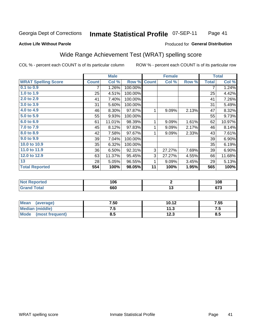#### Inmate Statistical Profile 07-SEP-11 Page 41

#### **Active Life Without Parole**

### **Produced for General Distribution**

## Wide Range Achievement Test (WRAT) spelling score

COL % - percent each COUNT is of its particular column

ROW % - percent each COUNT is of its particular row

 $\overline{13}$ 

|                            |              | <b>Male</b> |         |              | <b>Female</b> |       |              | <b>Total</b> |
|----------------------------|--------------|-------------|---------|--------------|---------------|-------|--------------|--------------|
| <b>WRAT Spelling Score</b> | <b>Count</b> | Col %       | Row %   | <b>Count</b> | Col %         | Row % | <b>Total</b> | Col %        |
| 0.1 to 0.9                 | 7            | 1.26%       | 100.00% |              |               |       | 7            | 1.24%        |
| 1.0 to 1.9                 | 25           | 4.51%       | 100.00% |              |               |       | 25           | 4.42%        |
| 2.0 to 2.9                 | 41           | 7.40%       | 100.00% |              |               |       | 41           | 7.26%        |
| 3.0 to 3.9                 | 31           | 5.60%       | 100.00% |              |               |       | 31           | 5.49%        |
| 4.0 to 4.9                 | 46           | 8.30%       | 97.87%  | 1            | 9.09%         | 2.13% | 47           | 8.32%        |
| 5.0 to 5.9                 | 55           | 9.93%       | 100.00% |              |               |       | 55           | 9.73%        |
| 6.0 to 6.9                 | 61           | 11.01%      | 98.39%  | 1            | 9.09%         | 1.61% | 62           | 10.97%       |
| 7.0 to 7.9                 | 45           | 8.12%       | 97.83%  | 1            | 9.09%         | 2.17% | 46           | 8.14%        |
| 8.0 to 8.9                 | 42           | 7.58%       | 97.67%  | 1            | 9.09%         | 2.33% | 43           | 7.61%        |
| 9.0 to 9.9                 | 39           | 7.04%       | 100.00% |              |               |       | 39           | 6.90%        |
| 10.0 to 10.9               | 35           | 6.32%       | 100.00% |              |               |       | 35           | 6.19%        |
| 11.0 to 11.9               | 36           | 6.50%       | 92.31%  | 3            | 27.27%        | 7.69% | 39           | 6.90%        |
| 12.0 to 12.9               | 63           | 11.37%      | 95.45%  | 3            | 27.27%        | 4.55% | 66           | 11.68%       |
| 13                         | 28           | 5.05%       | 96.55%  | 1            | 9.09%         | 3.45% | 29           | 5.13%        |
| <b>Total Reported</b>      | 554          | 100%        | 98.05%  | 11           | 100%          | 1.95% | 565          | 100%         |
|                            |              |             |         |              |               |       |              |              |
| <b>Not Reported</b>        |              | 106         |         |              | 2             |       |              | 108          |

| Mean<br>(average)       | 7.50 | 10.12 | 7.55 |
|-------------------------|------|-------|------|
| Median (middle)         | 7.5  | 11.3  | ۵. / |
| Mode<br>(most frequent) | 8.5  | 12.3  | 8.5  |

660

**Grand Total** 

 $673$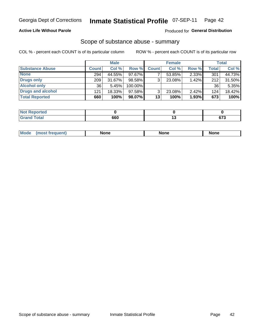### **Active Life Without Parole**

#### Produced for General Distribution

### Scope of substance abuse - summary

COL % - percent each COUNT is of its particular column

|                        |              | <b>Male</b> |           |              | <b>Female</b> |       |              | <b>Total</b> |
|------------------------|--------------|-------------|-----------|--------------|---------------|-------|--------------|--------------|
| <b>Substance Abuse</b> | <b>Count</b> | Col %       | Row %     | <b>Count</b> | Col %         | Row % | <b>Total</b> | Col %        |
| <b>None</b>            | 294          | 44.55%      | 97.67%    |              | 53.85%        | 2.33% | 301          | 44.73%       |
| <b>Drugs only</b>      | 209          | $31.67\%$   | 98.58%    |              | 23.08%        | 1.42% | 212          | 31.50%       |
| <b>Alcohol only</b>    | 36           | 5.45%       | 100.00%   |              |               |       | 36           | 5.35%        |
| Drugs and alcohol      | 121          | 18.33%      | $97.58\%$ |              | 23.08%        | 2.42% | 124          | 18.42%       |
| <b>Total Reported</b>  | 660          | 100%        | 98.07%    | 13           | 100%          | 1.93% | 673          | 100%         |

| <b>Not</b><br>Reported       |     |        |
|------------------------------|-----|--------|
| <b>Total</b><br><b>Grand</b> | 660 | $\sim$ |

| <b>Mod</b><br>'one<br>None<br><b>None</b> |
|-------------------------------------------|
|-------------------------------------------|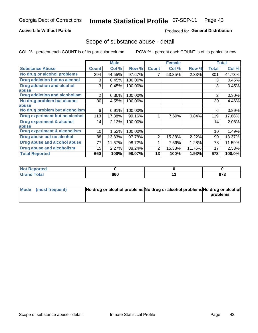### **Active Life Without Parole**

### **Produced for General Distribution**

## Scope of substance abuse - detail

COL % - percent each COUNT is of its particular column

|                                      |              | <b>Male</b> |         |              | <b>Female</b> |        |                | <b>Total</b> |
|--------------------------------------|--------------|-------------|---------|--------------|---------------|--------|----------------|--------------|
| <b>Substance Abuse</b>               | <b>Count</b> | Col %       | Row %   | <b>Count</b> | Col %         | Row %  | Total          | Col %        |
| No drug or alcohol problems          | 294          | 44.55%      | 97.67%  |              | 53.85%        | 2.33%  | 301            | 44.73%       |
| Drug addiction but no alcohol        | 3            | 0.45%       | 100.00% |              |               |        | 3              | 0.45%        |
| <b>Drug addiction and alcohol</b>    | 3            | 0.45%       | 100.00% |              |               |        | 3              | 0.45%        |
| abuse                                |              |             |         |              |               |        |                |              |
| <b>Drug addiction and alcoholism</b> | 2            | 0.30%       | 100.00% |              |               |        | $\overline{2}$ | 0.30%        |
| No drug problem but alcohol          | 30           | 4.55%       | 100.00% |              |               |        | 30             | 4.46%        |
| abuse                                |              |             |         |              |               |        |                |              |
| No drug problem but alcoholism       | 6            | 0.91%       | 100.00% |              |               |        | 6              | 0.89%        |
| Drug experiment but no alcohol       | 118          | 17.88%      | 99.16%  |              | 7.69%         | 0.84%  | 119            | 17.68%       |
| <b>Drug experiment &amp; alcohol</b> | 14           | 2.12%       | 100.00% |              |               |        | 14             | 2.08%        |
| abuse                                |              |             |         |              |               |        |                |              |
| Drug experiment & alcoholism         | 10           | 1.52%       | 100.00% |              |               |        | 10             | 1.49%        |
| Drug abuse but no alcohol            | 88           | 13.33%      | 97.78%  | 2            | 15.38%        | 2.22%  | 90             | 13.37%       |
| Drug abuse and alcohol abuse         | 77           | 11.67%      | 98.72%  |              | 7.69%         | 1.28%  | 78             | 11.59%       |
| <b>Drug abuse and alcoholism</b>     | 15           | 2.27%       | 88.24%  | 2            | 15.38%        | 11.76% | 17             | 2.53%        |
| <b>Total Reported</b>                | 660          | 100%        | 98.07%  | 13           | 100%          | 1.93%  | 673            | 100.0%       |

| ported               |     |    |                     |
|----------------------|-----|----|---------------------|
| <b>otal</b><br>_____ | 660 | יי | <b>070</b><br>u 1 J |

| Mode (most frequent) | No drug or alcohol problems No drug or alcohol problems No drug or alcohol |          |
|----------------------|----------------------------------------------------------------------------|----------|
|                      |                                                                            | problems |
|                      |                                                                            |          |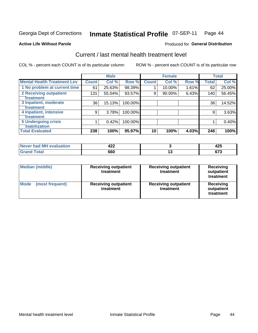#### **Inmate Statistical Profile 07-SEP-11** Page 44

#### **Active Life Without Parole**

### **Produced for General Distribution**

## Current / last mental health treatment level

COL % - percent each COUNT is of its particular column

|                                    |              | <b>Male</b> |         |              | <b>Female</b> |       |              | <b>Total</b> |
|------------------------------------|--------------|-------------|---------|--------------|---------------|-------|--------------|--------------|
| <b>Mental Health Treatment Lev</b> | <b>Count</b> | Col %       | Row %   | <b>Count</b> | Col %         | Row % | <b>Total</b> | Col %        |
| 1 No problem at current time       | 61           | 25.63%      | 98.39%  |              | 10.00%        | 1.61% | 62           | 25.00%       |
| 2 Receiving outpatient             | 131          | 55.04%      | 93.57%  | 9            | 90.00%        | 6.43% | 140          | 56.45%       |
| <b>Treatment</b>                   |              |             |         |              |               |       |              |              |
| 3 Inpatient, moderate              | 36           | 15.13%      | 100.00% |              |               |       | 36           | 14.52%       |
| Treatment                          |              |             |         |              |               |       |              |              |
| 4 Inpatient, intensive             | 9            | 3.78%       | 100.00% |              |               |       | 9            | 3.63%        |
| Treatment                          |              |             |         |              |               |       |              |              |
| <b>5 Undergoing crisis</b>         |              | 0.42%       | 100.00% |              |               |       |              | 0.40%        |
| <b>stabilization</b>               |              |             |         |              |               |       |              |              |
| <b>Total Evaluated</b>             | 238          | 100%        | 95.97%  | 10           | 100%          | 4.03% | 248          | 100%         |

| had MH<br><b>uation</b><br>Aval<br><b>NAVAR</b> | れつつ<br>−∠∠   |            | 10 P<br>$\sim$   |
|-------------------------------------------------|--------------|------------|------------------|
|                                                 | 660<br>- - - | . .<br>$-$ | ---<br>v,<br>- - |

| <b>Median (middle)</b>         | <b>Receiving outpatient</b><br>treatment | <b>Receiving outpatient</b><br>treatment | <b>Receiving</b><br>outpatient<br>treatment |  |  |
|--------------------------------|------------------------------------------|------------------------------------------|---------------------------------------------|--|--|
| <b>Mode</b><br>(most frequent) | <b>Receiving outpatient</b><br>treatment | <b>Receiving outpatient</b><br>treatment | Receiving<br>outpatient<br>treatment        |  |  |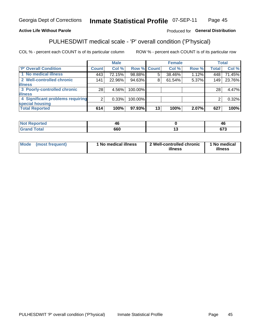#### **Inmate Statistical Profile 07-SEP-11** Page 45

### **Active Life Without Parole**

### Produced for General Distribution

## PULHESDWIT medical scale - 'P' overall condition ('P'hysical)

COL % - percent each COUNT is of its particular column

|                                  |                | <b>Male</b> |             |    | <b>Female</b> |       |              | <b>Total</b> |
|----------------------------------|----------------|-------------|-------------|----|---------------|-------|--------------|--------------|
| 'P' Overall Condition            | <b>Count</b>   | Col %       | Row % Count |    | Col %         | Row % | <b>Total</b> | Col %        |
| 1 No medical illness             | 443            | 72.15%      | 98.88%      | 5  | 38.46%        | 1.12% | 448          | 71.45%       |
| 2 Well-controlled chronic        | 141            | 22.96%      | 94.63%      | 8  | 61.54%        | 5.37% | 149          | 23.76%       |
| <b>illness</b>                   |                |             |             |    |               |       |              |              |
| 3 Poorly-controlled chronic      | 28             | 4.56%       | 100.00%     |    |               |       | 28           | 4.47%        |
| <b>illness</b>                   |                |             |             |    |               |       |              |              |
| 4 Significant problems requiring | 2 <sub>1</sub> | 0.33%       | 100.00%     |    |               |       | 2            | 0.32%        |
| special housing                  |                |             |             |    |               |       |              |              |
| <b>Total Reported</b>            | 614            | 100%        | 97.93%      | 13 | 100%          | 2.07% | 627          | 100%         |

| 18 L  | ⁄1 I<br>-- | <i>n.</i><br>- 7       |
|-------|------------|------------------------|
| ı vuu | 660        | $\sim$<br>. . <i>.</i> |

| <b>Mode</b> | (most frequent) | 1 No medical illness | 2 Well-controlled chronic<br>illness | 1 No medical<br>illness |
|-------------|-----------------|----------------------|--------------------------------------|-------------------------|
|-------------|-----------------|----------------------|--------------------------------------|-------------------------|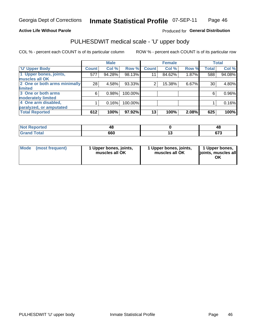#### **Active Life Without Parole**

### Produced for General Distribution

# PULHESDWIT medical scale - 'U' upper body

COL % - percent each COUNT is of its particular column

|                              |              | <b>Male</b> |         |              | <b>Female</b> |       |              | <b>Total</b> |
|------------------------------|--------------|-------------|---------|--------------|---------------|-------|--------------|--------------|
| <b>'U' Upper Body</b>        | <b>Count</b> | Col %       | Row %   | <b>Count</b> | Col %         | Row % | <b>Total</b> | Col %        |
| 1 Upper bones, joints,       | 577          | 94.28%      | 98.13%  | 11           | 84.62%        | 1.87% | 588          | 94.08%       |
| muscles all OK               |              |             |         |              |               |       |              |              |
| 2 One or both arms minimally | 28           | 4.58%       | 93.33%  | 2            | 15.38%        | 6.67% | 30           | 4.80%        |
| limited                      |              |             |         |              |               |       |              |              |
| 3 One or both arms           | 6            | 0.98%       | 100.00% |              |               |       | 6            | 0.96%        |
| <b>moderately limited</b>    |              |             |         |              |               |       |              |              |
| 4 One arm disabled,          |              | 0.16%       | 100.00% |              |               |       |              | 0.16%        |
| paralyzed, or amputated      |              |             |         |              |               |       |              |              |
| <b>Total Reported</b>        | 612          | 100%        | 97.92%  | 13           | 100%          | 2.08% | 625          | 100%         |

| <b>Not Reported</b> |     | 46             |
|---------------------|-----|----------------|
| <b>Grand Total</b>  | 660 | $\sim$<br>ט וט |

| Mode | (most frequent) | 1 Upper bones, joints,<br>muscles all OK | 1 Upper bones, joints,<br>muscles all OK | 1 Upper bones,<br>ljoints, muscles all<br>OK |
|------|-----------------|------------------------------------------|------------------------------------------|----------------------------------------------|
|------|-----------------|------------------------------------------|------------------------------------------|----------------------------------------------|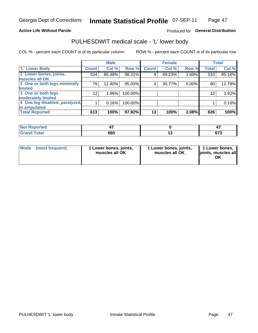#### **Active Life Without Parole**

### Produced for General Distribution

## PULHESDWIT medical scale - 'L' lower body

COL % - percent each COUNT is of its particular column

|                                |                 | <b>Male</b> |         |              | <b>Female</b> |       |              | <b>Total</b> |
|--------------------------------|-----------------|-------------|---------|--------------|---------------|-------|--------------|--------------|
| 'L' Lower Body                 | <b>Count</b>    | Col %       | Row %   | <b>Count</b> | Col %         | Row % | <b>Total</b> | Col %        |
| 1 Lower bones, joints,         | 524             | 85.48%      | 98.31%  | 9            | 69.23%        | 1.69% | 533          | 85.14%       |
| muscles all OK                 |                 |             |         |              |               |       |              |              |
| 2 One or both legs minimally   | 76              | 12.40%      | 95.00%  | 4            | 30.77%        | 5.00% | 80           | 12.78%       |
| limited                        |                 |             |         |              |               |       |              |              |
| 3 One or both legs             | 12 <sub>2</sub> | 1.96%       | 100.00% |              |               |       | 12           | 1.92%        |
| moderately limited             |                 |             |         |              |               |       |              |              |
| 4 One leg disabled, paralyzed, |                 | 0.16%       | 100.00% |              |               |       |              | 0.16%        |
| or amputated                   |                 |             |         |              |               |       |              |              |
| <b>Total Reported</b>          | 613             | 100%        | 97.92%  | 13           | 100%          | 2.08% | 626          | 100%         |

| <b>Not Reported</b>    |     |             |
|------------------------|-----|-------------|
| <b>Total</b><br>------ | 660 | ---<br>01 J |

| Mode | (most frequent) | 1 Lower bones, joints,<br>muscles all OK | 1 Lower bones, joints,<br>muscles all OK | 1 Lower bones,<br>ljoints, muscles all<br>OK |
|------|-----------------|------------------------------------------|------------------------------------------|----------------------------------------------|
|------|-----------------|------------------------------------------|------------------------------------------|----------------------------------------------|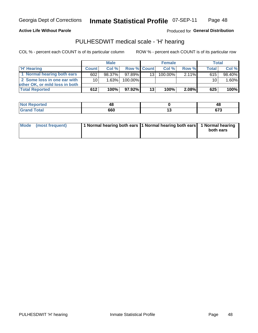**Active Life Without Parole** 

Produced for General Distribution

## PULHESDWIT medical scale - 'H' hearing

COL % - percent each COUNT is of its particular column

|                                |                 | <b>Male</b> | <b>Female</b>      |    |         |          | <b>Total</b> |        |
|--------------------------------|-----------------|-------------|--------------------|----|---------|----------|--------------|--------|
| 'H' Hearing                    | <b>Count</b>    | Col%        | <b>Row % Count</b> |    | Col%    | Row %    | <b>Total</b> | Col %  |
| 1 Normal hearing both ears     | 602             | $98.37\%$   | 97.89%             | 13 | 100.00% | $2.11\%$ | 615          | 98.40% |
| 2 Some loss in one ear with    | 10 <sup>1</sup> | 1.63%       | 100.00%            |    |         |          | 10           | 1.60%  |
| other OK, or mild loss in both |                 |             |                    |    |         |          |              |        |
| <b>Total Reported</b>          | 612             | 100%        | 97.92%             | 13 | 100%    | 2.08%    | 625          | 100%   |

| .<br>N<br>TE 10 | . .<br>т.<br>$\sim$ |        | <u>л,</u><br>40     |
|-----------------|---------------------|--------|---------------------|
|                 | 660<br>- - -        | $\sim$ | c79<br>u 1 J<br>$-$ |

|  | Mode (most frequent) | 1 Normal hearing both ears 1 Normal hearing both ears 1 Normal hearing |  | both ears |
|--|----------------------|------------------------------------------------------------------------|--|-----------|
|--|----------------------|------------------------------------------------------------------------|--|-----------|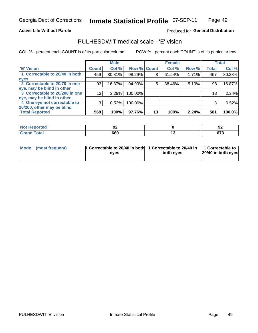#### **Active Life Without Parole**

### Produced for General Distribution

## PULHESDWIT medical scale - 'E' vision

COL % - percent each COUNT is of its particular column

|                                |                 | <b>Male</b> |             |    | <b>Female</b> |       |              | <b>Total</b> |
|--------------------------------|-----------------|-------------|-------------|----|---------------|-------|--------------|--------------|
| <b>E' Vision</b>               | <b>Count</b>    | Col %       | Row % Count |    | Col %         | Row % | <b>Total</b> | Col %        |
| 1 Correctable to 20/40 in both | 459             | 80.81%      | 98.29%      | 8  | 61.54%        | 1.71% | 467          | 80.38%       |
| eyes                           |                 |             |             |    |               |       |              |              |
| 2 Correctable to 20/70 in one  | 93              | 16.37%      | 94.90%      | 5  | 38.46%        | 5.10% | 98           | 16.87%       |
| eye, may be blind in other     |                 |             |             |    |               |       |              |              |
| 3 Correctable to 20/200 in one | 13 <sub>1</sub> | 2.29%       | 100.00%     |    |               |       | 13           | 2.24%        |
| eye, may be blind in other     |                 |             |             |    |               |       |              |              |
| 4 One eye not correctable to   | 3               | 0.53%       | 100.00%     |    |               |       | 3            | 0.52%        |
| 20/200, other may be blind     |                 |             |             |    |               |       |              |              |
| <b>Total Reported</b>          | 568             | 100%        | 97.76%      | 13 | 100%          | 2.24% | 581          | 100.0%       |

| <b>Not Reported</b> | JŁ  |         | ~<br>94        |
|---------------------|-----|---------|----------------|
| <b>Total</b>        | 660 | $\cdot$ | $\sim$<br>ט וט |

| Mode (most frequent) | <sup>1</sup> Correctable to 20/40 in both 1 Correctable to 20/40 in 1 Correctable to<br>eves | both eyes | 20/40 in both eyes |
|----------------------|----------------------------------------------------------------------------------------------|-----------|--------------------|
|                      |                                                                                              |           |                    |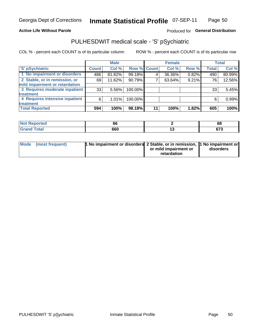### **Active Life Without Parole**

### Produced for General Distribution

## PULHESDWIT medical scale - 'S' pSychiatric

COL % - percent each COUNT is of its particular column

|                                |                 | <b>Male</b> |                    |    | <b>Female</b> |       |              | <b>Total</b> |
|--------------------------------|-----------------|-------------|--------------------|----|---------------|-------|--------------|--------------|
| 'S' pSychiatric                | <b>Count</b>    | Col %       | <b>Row % Count</b> |    | Col %         | Row % | <b>Total</b> | Col %        |
| 1 No impairment or disorders   | 486             | 81.82%      | 99.18%             |    | 36.36%        | 0.82% | 490          | 80.99%       |
| 2 Stable, or in remission, or  | 69              | 11.62%      | 90.79%             |    | 63.64%        | 9.21% | 76           | 12.56%       |
| mild impairment or retardation |                 |             |                    |    |               |       |              |              |
| 3 Requires moderate inpatient  | 33 <sub>1</sub> | 5.56%       | 100.00%            |    |               |       | 33           | 5.45%        |
| <b>treatment</b>               |                 |             |                    |    |               |       |              |              |
| 4 Requires intensive inpatient | 6               | 1.01%       | 100.00%            |    |               |       | 6            | 0.99%        |
| <b>treatment</b>               |                 |             |                    |    |               |       |              |              |
| <b>Total Reported</b>          | 594             | 100%        | 98.18%             | 11 | 100%          | 1.82% | 605          | 100%         |

| тео |              | 68                    |
|-----|--------------|-----------------------|
|     | 660<br>- - - | $\sim$<br>07 J<br>- - |

| Mode (most frequent) | <sup>1</sup> No impairment or disorders 2 Stable, or in remission, <sup>1</sup> No impairment or |                       |           |
|----------------------|--------------------------------------------------------------------------------------------------|-----------------------|-----------|
|                      |                                                                                                  | or mild impairment or | disorders |
|                      |                                                                                                  | retardation           |           |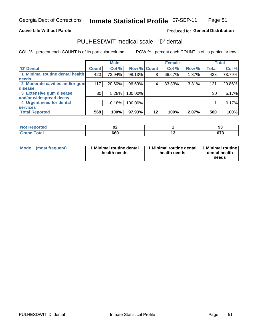**Active Life Without Parole** 

#### Inmate Statistical Profile 07-SEP-11 Page 51

Produced for General Distribution

## PULHESDWIT medical scale - 'D' dental

COL % - percent each COUNT is of its particular column

|                                 |              | <b>Male</b> |             |    | <b>Female</b> |       |              | <b>Total</b> |
|---------------------------------|--------------|-------------|-------------|----|---------------|-------|--------------|--------------|
| <b>D'</b> Dental                | <b>Count</b> | Col %       | Row % Count |    | Col %         | Row % | <b>Total</b> | Col %        |
| 1 Minimal routine dental health | 420          | 73.94%      | 98.13%      | 8  | 66.67%        | 1.87% | 428          | 73.79%       |
| <b>needs</b>                    |              |             |             |    |               |       |              |              |
| 2 Moderate cavities and/or gum  | 117          | 20.60%      | 96.69%      | 4  | 33.33%        | 3.31% | 121          | 20.86%       |
| disease                         |              |             |             |    |               |       |              |              |
| 3 Extensive gum disease         | 30           | 5.28%       | 100.00%     |    |               |       | 30           | 5.17%        |
| and/or widespread decay         |              |             |             |    |               |       |              |              |
| 4 Urgent need for dental        |              | 0.18%       | 100.00%     |    |               |       |              | 0.17%        |
| <b>services</b>                 |              |             |             |    |               |       |              |              |
| <b>Total Reported</b>           | 568          | 100%        | 97.93%      | 12 | 100%          | 2.07% | 580          | 100%         |

| rreol        | JŁ  |     | ಀ              |
|--------------|-----|-----|----------------|
| <b>Total</b> | 660 | . . | $\sim$<br>ט וט |

| <b>Mode</b> | (most frequent) | <b>Minimal routine dental</b><br>health needs | 1 Minimal routine dental 1 Minimal routine<br>health needs | dental health<br>needs |
|-------------|-----------------|-----------------------------------------------|------------------------------------------------------------|------------------------|
|-------------|-----------------|-----------------------------------------------|------------------------------------------------------------|------------------------|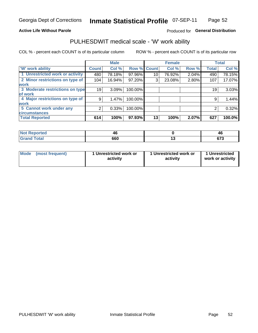#### **Active Life Without Parole**

### Produced for General Distribution

## PULHESDWIT medical scale - 'W' work ability

COL % - percent each COUNT is of its particular column

|                                 |              | <b>Male</b> |         |             | <b>Female</b> |       |              | <b>Total</b> |
|---------------------------------|--------------|-------------|---------|-------------|---------------|-------|--------------|--------------|
| <b>W' work ability</b>          | <b>Count</b> | Col %       |         | Row % Count | Col %         | Row % | <b>Total</b> | Col %        |
| 1 Unrestricted work or activity | 480          | 78.18%      | 97.96%  | 10          | 76.92%        | 2.04% | 490          | 78.15%       |
| 2 Minor restrictions on type of | 104          | 16.94%      | 97.20%  | 3           | 23.08%        | 2.80% | 107          | 17.07%       |
| <b>work</b>                     |              |             |         |             |               |       |              |              |
| 3 Moderate restrictions on type | 19           | 3.09%       | 100.00% |             |               |       | 19           | 3.03%        |
| lof work                        |              |             |         |             |               |       |              |              |
| 4 Major restrictions on type of | 9            | 1.47%       | 100.00% |             |               |       | 9            | 1.44%        |
| <b>work</b>                     |              |             |         |             |               |       |              |              |
| 5 Cannot work under any         |              | 0.33%       | 100.00% |             |               |       | 2            | 0.32%        |
| <b>circumstances</b>            |              |             |         |             |               |       |              |              |
| <b>Total Reported</b>           | 614          | 100%        | 97.93%  | 13          | 100%          | 2.07% | 627          | 100.0%       |

| <b>Not Reported</b> | ⁄1 I | 46             |
|---------------------|------|----------------|
| <b>Grand Total</b>  | 660  | $\sim$<br>ט וט |

| <b>Mode</b> | (most frequent) | 1 Unrestricted work or<br>activity | 1 Unrestricted work or<br>activity | 1 Unrestricted<br>work or activity |
|-------------|-----------------|------------------------------------|------------------------------------|------------------------------------|
|-------------|-----------------|------------------------------------|------------------------------------|------------------------------------|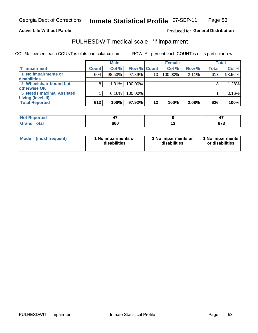#### **Active Life Without Parole**

Produced for General Distribution

## PULHESDWIT medical scale - 'I' impairment

|                          |              | <b>Male</b> |                    |    | <b>Female</b> |       |              | <b>Total</b> |
|--------------------------|--------------|-------------|--------------------|----|---------------|-------|--------------|--------------|
| 'l' Impairment           | <b>Count</b> | Col %       | <b>Row % Count</b> |    | Col %         | Row % | <b>Total</b> | Col %        |
| 1 No impairments or      | 604          | 98.53%      | $97.89\%$          | 13 | 100.00%       | 2.11% | 617          | 98.56%       |
| disabilities             |              |             |                    |    |               |       |              |              |
| 2 Wheelchair-bound but   |              | $1.31\%$    | 100.00%            |    |               |       |              | 1.28%        |
| otherwise OK             |              |             |                    |    |               |       |              |              |
| 5 Needs maximal Assisted |              | 0.16%       | 100.00%            |    |               |       |              | 0.16%        |
| Living (level III)       |              |             |                    |    |               |       |              |              |
| <b>Total Reported</b>    | 613          | 100%        | $97.92\%$          | 13 | 100%          | 2.08% | 626          | 100%         |

| <b>Not Reported</b> |     | . .            |
|---------------------|-----|----------------|
| Total               | 660 | $\sim$<br>ט ונ |

| <b>Mode</b>     | 1 No impairments or | 1 No impairments or | 1 No impairments |
|-----------------|---------------------|---------------------|------------------|
| (most frequent) | disabilities        | disabilities        | or disabilities  |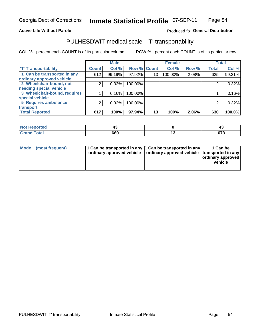#### **Active Life Without Parole**

#### Produced fo General Distribution

## PULHESDWIT medical scale - 'T' transportability

COL % - percent each COUNT is of its particular column

|                              |              | <b>Male</b> |             |    | <b>Female</b> |       |              | <b>Total</b> |
|------------------------------|--------------|-------------|-------------|----|---------------|-------|--------------|--------------|
| <b>T' Transportability</b>   | <b>Count</b> | Col %       | Row % Count |    | Col %         | Row % | <b>Total</b> | Col %        |
| 1 Can be transported in any  | 612          | 99.19%      | 97.92%      | 13 | 100.00%       | 2.08% | 625          | 99.21%       |
| ordinary approved vehicle    |              |             |             |    |               |       |              |              |
| 2 Wheelchair-bound, not      |              | 0.32%       | 100.00%     |    |               |       |              | 0.32%        |
| needing special vehicle      |              |             |             |    |               |       |              |              |
| 3 Wheelchair-bound, requires |              | 0.16%       | 100.00%     |    |               |       |              | 0.16%        |
| special vehicle              |              |             |             |    |               |       |              |              |
| 5 Requires ambulance         | 2            | 0.32%       | 100.00%     |    |               |       |              | 0.32%        |
| transport                    |              |             |             |    |               |       |              |              |
| <b>Total Reported</b>        | 617          | 100%        | 97.94%      | 13 | 100%          | 2.06% | 630          | 100.0%       |

| orted         | ∼   | ∼              |
|---------------|-----|----------------|
| <b>c</b> otal | 660 | $\sim$<br>- טע |

| <b>Mode</b> | (most frequent) | 1 Can be transported in any 1 Can be transported in any | ordinary approved vehicle   ordinary approved vehicle   transported in any | 1 Can be<br>  ordinary approved  <br>vehicle |
|-------------|-----------------|---------------------------------------------------------|----------------------------------------------------------------------------|----------------------------------------------|
|-------------|-----------------|---------------------------------------------------------|----------------------------------------------------------------------------|----------------------------------------------|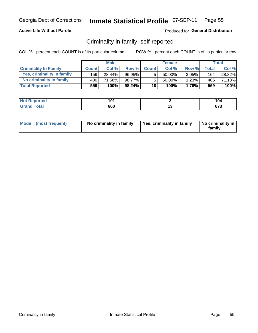### **Active Life Without Parole**

### Produced for General Distribution

## Criminality in family, self-reported

COL % - percent each COUNT is of its particular column

|                              |              | <b>Male</b> |        |                 | <b>Female</b> |          |       | Total  |
|------------------------------|--------------|-------------|--------|-----------------|---------------|----------|-------|--------|
| <b>Criminality In Family</b> | <b>Count</b> | Col %       | Row %  | <b>Count</b>    | Col %         | Row %    | Total | Col %  |
| Yes, criminality in family   | 159          | 28.44%      | 96.95% | 5               | $50.00\%$ .   | $3.05\%$ | 164   | 28.82% |
| No criminality in family     | 400          | 71.56%      | 98.77% | 5               | $50.00\%$     | 1.23%    | 405   | 71.18% |
| <b>Total Reported</b>        | 559          | 100%        | 98.24% | 10 <sup>1</sup> | 100%          | $1.76\%$ | 569   | 100%   |

| Reported<br><b>NOT</b> | 1 N 1<br>้ บ เ | 104             |
|------------------------|----------------|-----------------|
| <b>Total</b>           | 660            | $\sim$<br>u 1 J |

|  | Mode (most frequent) | No criminality in family | Yes, criminality in family | No criminality in<br>family |
|--|----------------------|--------------------------|----------------------------|-----------------------------|
|--|----------------------|--------------------------|----------------------------|-----------------------------|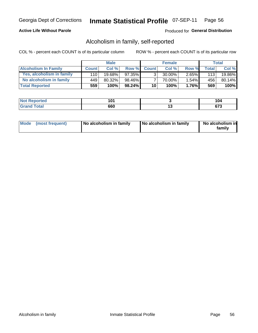### **Active Life Without Parole**

### Produced for General Distribution

## Alcoholism in family, self-reported

COL % - percent each COUNT is of its particular column

|                             |              | <b>Male</b> |           |                 | <b>Female</b> |       |       | Total  |
|-----------------------------|--------------|-------------|-----------|-----------------|---------------|-------|-------|--------|
| <b>Alcoholism In Family</b> | <b>Count</b> | Col %       | Row %     | <b>Count</b>    | Col %         | Row % | Total | Col %  |
| Yes, alcoholism in family   | 110 l        | $19.68\%$   | $97.35\%$ | 3 <sub>1</sub>  | $30.00\%$     | 2.65% | 113   | 19.86% |
| No alcoholism in family     | 449          | 80.32%      | 98.46%    |                 | 70.00%        | 1.54% | 456   | 80.14% |
| <b>Total Reported</b>       | 559          | 100%        | $98.24\%$ | 10 <sup>1</sup> | 100%          | 1.76% | 569   | 100%   |

| <b>Not Reported</b>     | 101 |     | .v           |
|-------------------------|-----|-----|--------------|
| <b>Total</b><br>' Grano | 660 | . v | ^¬^<br>v 1 J |

|  | Mode (most frequent) | No alcoholism in family | No alcoholism in family | No alcoholism in<br>family |
|--|----------------------|-------------------------|-------------------------|----------------------------|
|--|----------------------|-------------------------|-------------------------|----------------------------|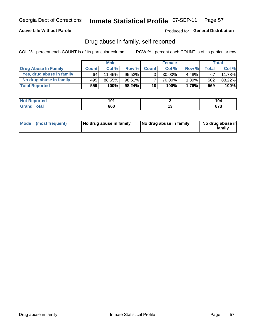### **Active Life Without Parole**

#### Produced for General Distribution

## Drug abuse in family, self-reported

COL % - percent each COUNT is of its particular column

|                           |              | <b>Male</b> |           |                 | <b>Female</b> |          |              | Total  |
|---------------------------|--------------|-------------|-----------|-----------------|---------------|----------|--------------|--------|
| Drug Abuse In Family      | <b>Count</b> | Col%        | Row %     | <b>Count</b>    | Col %         | Row %    | <b>Total</b> | Col %  |
| Yes, drug abuse in family | 64           | 11.45%      | $95.52\%$ | 3               | 30.00%        | $4.48\%$ | 67           | 11.78% |
| No drug abuse in family   | 495          | 88.55%      | 98.61%    |                 | 70.00%        | 1.39%    | 502          | 88.22% |
| <b>Total Reported</b>     | 559          | 100%        | 98.24%    | 10 <sup>1</sup> | 100%          | $1.76\%$ | 569          | 100%   |

| <b>Not Reported</b>     | 101 |     | .v           |
|-------------------------|-----|-----|--------------|
| <b>Total</b><br>' Grano | 660 | . v | ^¬^<br>v 1 J |

|  | Mode (most frequent) | No drug abuse in family | No drug abuse in family | No drug abuse in<br>family |
|--|----------------------|-------------------------|-------------------------|----------------------------|
|--|----------------------|-------------------------|-------------------------|----------------------------|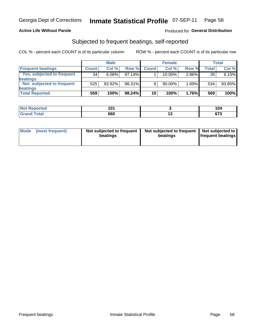### **Active Life Without Parole**

### Produced for General Distribution

## Subjected to frequent beatings, self-reported

COL % - percent each COUNT is of its particular column

|                            |              | <b>Male</b> |        |              | <b>Female</b> |          |       | Total  |
|----------------------------|--------------|-------------|--------|--------------|---------------|----------|-------|--------|
| <b>Frequent beatings</b>   | <b>Count</b> | Col %       | Row %  | <b>Count</b> | Col %         | Row %    | Total | Col %  |
| Yes, subjected to frequent | 34           | 6.08%       | 97.14% |              | 10.00%        | $2.86\%$ | 35    | 6.15%  |
| beatings                   |              |             |        |              |               |          |       |        |
| Not subjected to frequent  | 525          | 93.92%      | 98.31% | 9            | 90.00%        | 1.69%    | 534   | 93.85% |
| beatings                   |              |             |        |              |               |          |       |        |
| <b>Total Reported</b>      | 559          | 100%        | 98.24% | 10           | 100%          | 1.76%    | 569   | 100%   |

| <b>Not Reported</b> | 1 N 1<br>U |     | 104         |
|---------------------|------------|-----|-------------|
| <b>Total</b>        | 660        | . . | c79<br>01 J |

| Mode | (most frequent) | Not subjected to frequent<br>beatings | Not subjected to frequent<br>beatings | Not subjected to<br><b>frequent beatings</b> |
|------|-----------------|---------------------------------------|---------------------------------------|----------------------------------------------|
|      |                 |                                       |                                       |                                              |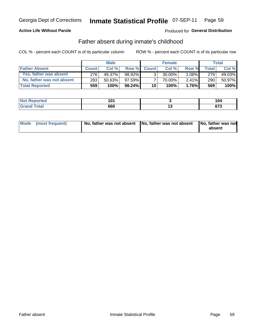### **Active Life Without Parole**

### **Produced for General Distribution**

## Father absent during inmate's childhood

COL % - percent each COUNT is of its particular column

|                           |              | <b>Male</b> |           |                 | <b>Female</b> |          |         | Total   |
|---------------------------|--------------|-------------|-----------|-----------------|---------------|----------|---------|---------|
| <b>Father Absent</b>      | <b>Count</b> | Col%        | Row %     | <b>Count</b>    | Col %         | Row %    | Total i | Col %   |
| Yes, father was absent    | 276          | 49.37%      | 98.92%    | 3 <sub>1</sub>  | $30.00\%$     | $1.08\%$ | 279     | 49.03%  |
| No, father was not absent | 283          | 50.63%      | 97.59%    |                 | 70.00%        | $2.41\%$ | 290     | 50.97%  |
| <b>Total Reported</b>     | 559          | 100%        | $98.24\%$ | 10 <sup>1</sup> | 100%          | $1.76\%$ | 569     | $100\%$ |

| <b>Not Reported</b>          | 1 N 1<br>שו | 104            |
|------------------------------|-------------|----------------|
| <b>Total</b><br><b>Grand</b> | 660         | $\sim$<br>ט וט |

| Mode (most frequent) |  | No, father was not absent No, father was not absent No, father was not | absent |
|----------------------|--|------------------------------------------------------------------------|--------|
|----------------------|--|------------------------------------------------------------------------|--------|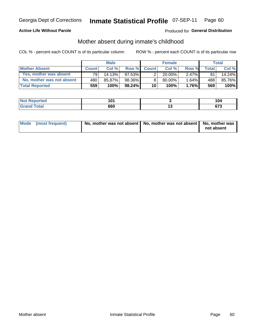### **Active Life Without Parole**

### **Produced for General Distribution**

## Mother absent during inmate's childhood

COL % - percent each COUNT is of its particular column

|                           |              | <b>Male</b> |           |              | <b>Female</b> |          |                | <b>Total</b> |
|---------------------------|--------------|-------------|-----------|--------------|---------------|----------|----------------|--------------|
| <b>Mother Absent</b>      | <b>Count</b> | Col%        | Row %     | <b>Count</b> | Col%          | Row %    | <b>Total</b> I | Col %        |
| Yes, mother was absent    | 791          | 14.13%      | $97.53\%$ | ◠            | $20.00\%$     | $2.47\%$ | 81             | 14.24%       |
| No, mother was not absent | 480          | 85.87%      | 98.36%    |              | $80.00\%$ ,   | $1.64\%$ | 488            | 85.76%       |
| <b>Total Reported</b>     | 559          | 100%        | $98.24\%$ | 10           | 100%          | 1.76%    | 569            | 100%         |

| <b>Not Reported</b>             | 101 |               | ישו                 |
|---------------------------------|-----|---------------|---------------------|
| <b>Total</b><br>l Gran<br>_____ | 660 | . .<br>$\sim$ | ^¬^<br>$\mathbf{v}$ |

| Mode (most frequent) | No, mother was not absent   No, mother was not absent   No, mother was | not absent |
|----------------------|------------------------------------------------------------------------|------------|
|                      |                                                                        |            |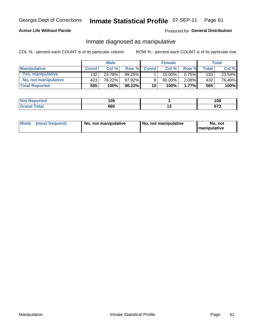### **Active Life Without Parole**

### Produced for General Distribution

## Inmate diagnosed as manipulative

COL % - percent each COUNT is of its particular column

|                          |              | <b>Male</b> |           |              | <b>Female</b> |       |              | Total  |
|--------------------------|--------------|-------------|-----------|--------------|---------------|-------|--------------|--------|
| <b>Manipulative</b>      | <b>Count</b> | Col%        | Row %     | <b>Count</b> | Col %         | Row % | <b>Total</b> | Col %  |
| <b>Yes, manipulative</b> | 132          | 23.78%      | $99.25\%$ |              | $10.00\%$ .   | 0.75% | 133          | 23.54% |
| No, not manipulative     | 423          | 76.22%      | 97.92%    | 9            | 90.00%        | 2.08% | 432          | 76.46% |
| <b>Total Reported</b>    | 555!         | 100%        | $98.23\%$ | 10           | 100%          | 1.77% | 565          | 100%   |

| <b>Not Reported</b> | 105 |     | 108            |
|---------------------|-----|-----|----------------|
| `otal<br>' Grano    | 660 | . . | $\sim$<br>ט וט |

|  | Mode (most frequent) | No, not manipulative | No, not manipulative | No. not<br><b>I</b> manipulative |
|--|----------------------|----------------------|----------------------|----------------------------------|
|--|----------------------|----------------------|----------------------|----------------------------------|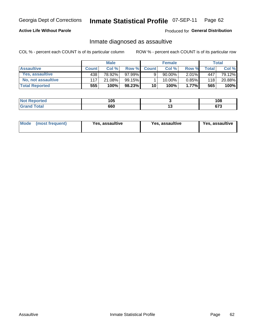#### Inmate Statistical Profile 07-SEP-11 Page 62

### **Active Life Without Parole**

Produced for General Distribution

## Inmate diagnosed as assaultive

COL % - percent each COUNT is of its particular column

|                       | <b>Male</b>  |        | <b>Female</b>   |              |             | Total    |       |        |
|-----------------------|--------------|--------|-----------------|--------------|-------------|----------|-------|--------|
| <b>Assaultive</b>     | <b>Count</b> | Col%   | Row %           | <b>Count</b> | Col%        | Row %    | Total | Col %  |
| Yes, assaultive       | 438          | 78.92% | $97.99\%$       | 9            | 90.00%      | $2.01\%$ | 447   | 79.12% |
| No, not assaultive    | 117          | 21.08% | 99.15% <b>I</b> |              | $10.00\%$ . | $0.85\%$ | 118   | 20.88% |
| <b>Total Reported</b> | 555          | 100%   | 98.23%          | 10           | 100%        | $1.77\%$ | 565   | 100%   |

| <b>Not</b><br>Reported        | 1 N F<br>ιν |     | 108         |
|-------------------------------|-------------|-----|-------------|
| <b><i>i</i></b> otal<br>_____ | 660         | $-$ | ^¬^<br>uı u |

| Mode (most frequent)<br>Yes, assaultive | Yes, assaultive | <b>Yes, assaultive</b> |
|-----------------------------------------|-----------------|------------------------|
|-----------------------------------------|-----------------|------------------------|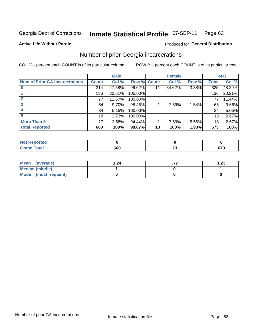#### Inmate Statistical Profile 07-SEP-11 Page 63

#### **Active Life Without Parole**

#### Produced for General Distribution

## Number of prior Georgia incarcerations

COL % - percent each COUNT is of its particular column

|                                       |              | <b>Male</b> |                    |    | <b>Female</b> | <b>Total</b> |       |        |
|---------------------------------------|--------------|-------------|--------------------|----|---------------|--------------|-------|--------|
| <b>Num of Prior GA Incarcerations</b> | <b>Count</b> | Col %       | <b>Row % Count</b> |    | Col %         | Row %        | Total | Col %  |
|                                       | 314          | 47.58%      | 96.62%             |    | 84.62%        | 3.38%        | 325   | 48.29% |
|                                       | 136          | 20.61%      | 100.00%            |    |               |              | 136   | 20.21% |
|                                       | 77           | 11.67%      | 100.00%            |    |               |              | 77    | 11.44% |
| 3                                     | 64           | $9.70\%$    | 98.46%             |    | 7.69%         | 1.54%        | 65    | 9.66%  |
|                                       | 34           | 5.15%       | 100.00%            |    |               |              | 34    | 5.05%  |
|                                       | 18           | 2.73%       | 100.00%            |    |               |              | 18    | 2.67%  |
| <b>More Than 5</b>                    | 17           | 2.58%       | 94.44%             |    | 7.69%         | 5.56%        | 18    | 2.67%  |
| <b>Total Reported</b>                 | 660          | 100%        | 98.07%             | 13 | 100%          | 1.93%        | 673   | 100%   |

| N<br>A (CIO) |          |                    |
|--------------|----------|--------------------|
| <b>otal</b>  | …<br>9P. | 570<br><u>or J</u> |

| Mean (average)       | .24 | 1.23 |
|----------------------|-----|------|
| Median (middle)      |     |      |
| Mode (most frequent) |     |      |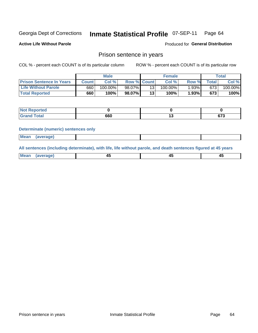#### Inmate Statistical Profile 07-SEP-11 Page 64

**Active Life Without Parole** 

Produced for General Distribution

### Prison sentence in years

COL % - percent each COUNT is of its particular column

ROW % - percent each COUNT is of its particular row

|                                 | <b>Male</b> |            |                    | <b>Female</b> |            |       | $\tau$ otal |            |
|---------------------------------|-------------|------------|--------------------|---------------|------------|-------|-------------|------------|
| <b>Prison Sentence In Years</b> | Count       | Col %      | <b>Row % Count</b> |               | Col%       | Row % | Total       | Col %      |
| <b>Life Without Parole</b>      | 660         | $100.00\%$ | 98.07%             |               | $100.00\%$ | 1.93% | 673         | $100.00\%$ |
| <b>Total Reported</b>           | 660         | 100%       | 98.07%             | 13            | 100%       | 1.93% | 673         | 100%       |

| <b>Not Reported</b> |     |                |
|---------------------|-----|----------------|
| <b>Total</b>        | 660 | $\sim$<br>01 J |

#### **Determinate (numeric) sentences only**

| <b>Mean</b><br><i>(average)</i> |  |
|---------------------------------|--|
|---------------------------------|--|

All sentences (including determinate), with life, life without parole, and death sentences figured at 45 years

| l Mea<br>апе<br>. | -⊷ |  |
|-------------------|----|--|
|                   |    |  |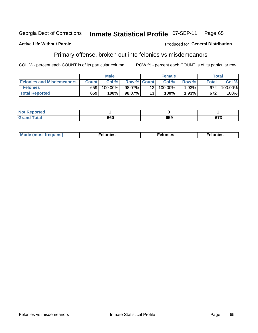#### **Inmate Statistical Profile 07-SEP-11** Georgia Dept of Corrections Page 65

#### **Active Life Without Parole**

#### Produced for General Distribution

## Primary offense, broken out into felonies vs misdemeanors

COL % - percent each COUNT is of its particular column

|                                  | <b>Male</b>  |         | <b>Female</b>      |     |         | Total    |              |         |
|----------------------------------|--------------|---------|--------------------|-----|---------|----------|--------------|---------|
| <b>Felonies and Misdemeanors</b> | <b>Count</b> | Col%    | <b>Row % Count</b> |     | Col%    | Row %    | <b>Total</b> | Col %   |
| <b>Felonies</b>                  | 659          | 100.00% | $98.07\%$          | 131 | 100.00% | $1.93\%$ | 672          | 100.00% |
| <b>Total Reported</b>            | 659          | 100%    | 98.07%             | 13  | 100%    | 1.93%    | 672          | 100%    |

| <b>Not Reported</b>          |           |            |     |
|------------------------------|-----------|------------|-----|
| <b>Total</b><br>Grand<br>uuu | ^^^<br>OU | ren<br>งวง | 673 |

| <b>Mode</b><br>frequent)<br>nies<br>≧ (most tr.<br>. | onies<br>. | lonies<br>ею<br>____ |
|------------------------------------------------------|------------|----------------------|
|------------------------------------------------------|------------|----------------------|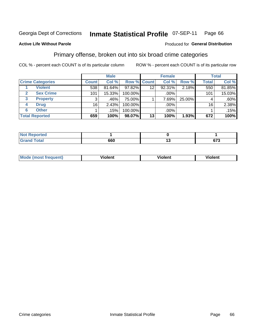#### **Inmate Statistical Profile 07-SEP-11** Page 66

### **Active Life Without Parole**

#### Produced for General Distribution

## Primary offense, broken out into six broad crime categories

COL % - percent each COUNT is of its particular column

|                         |              | <b>Male</b> | <b>Female</b> |                    |        | <b>Total</b> |              |        |
|-------------------------|--------------|-------------|---------------|--------------------|--------|--------------|--------------|--------|
| <b>Crime Categories</b> | <b>Count</b> | Col %       |               | <b>Row % Count</b> | Col %  | Row %        | <b>Total</b> | Col %  |
| <b>Violent</b>          | 538          | 81.64%      | 97.82%        | 12                 | 92.31% | 2.18%        | 550          | 81.85% |
| <b>Sex Crime</b>        | 101          | 15.33%      | 100.00%       |                    | .00%   |              | 101          | 15.03% |
| <b>Property</b><br>3    | 3            | .46%        | 75.00%        |                    | 7.69%  | 25.00%       | 4            | .60%   |
| <b>Drug</b><br>4        | 16           | 2.43%       | 100.00%       |                    | .00%   |              | 16           | 2.38%  |
| <b>Other</b><br>6       |              | .15%        | 100.00%       |                    | .00%   |              |              | .15%   |
| <b>Total Reported</b>   | 659          | 100%        | 98.07%        | 13                 | 100%   | 1.93%        | 672          | 100%   |

| <b>Not Reported</b> |     |             |
|---------------------|-----|-------------|
| <b>Total</b>        | 660 | ~70<br>ט וט |

| M | . | 40 O |
|---|---|------|
|   |   |      |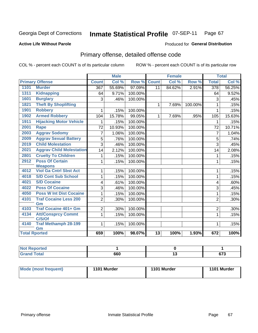#### **Active Life Without Parole**

#### Produced for **General Distribution**

## Primary offense, detailed offense code

|                      |                                     |                | <b>Male</b> |         |                 | <b>Female</b> |         |                  | <b>Total</b> |
|----------------------|-------------------------------------|----------------|-------------|---------|-----------------|---------------|---------|------------------|--------------|
|                      | <b>Primary Offense</b>              | <b>Count</b>   | Col %       | Row %   | <b>Count</b>    | Col %         | Row %   | <b>Total</b>     | Col %        |
| 1101                 | <b>Murder</b>                       | 367            | 55.69%      | 97.09%  | $\overline{11}$ | 84.62%        | 2.91%   | $\overline{378}$ | 56.25%       |
| 1311                 | <b>Kidnapping</b>                   | 64             | 9.71%       | 100.00% |                 |               |         | 64               | 9.52%        |
| 1601                 | <b>Burglary</b>                     | 3              | .46%        | 100.00% |                 |               |         | 3                | .45%         |
| 1821                 | <b>Theft By Shoplifting</b>         |                |             |         | 1               | 7.69%         | 100.00% | $\mathbf{1}$     | .15%         |
| 1901                 | <b>Robbery</b>                      | 1              | .15%        | 100.00% |                 |               |         | 1                | .15%         |
| 1902                 | <b>Armed Robbery</b>                | 104            | 15.78%      | 99.05%  | $\mathbf{1}$    | 7.69%         | .95%    | 105              | 15.63%       |
| 1911                 | <b>Hijacking Motor Vehicle</b>      |                | .15%        | 100.00% |                 |               |         | 1                | .15%         |
| 2001                 | <b>Rape</b>                         | 72             | 10.93%      | 100.00% |                 |               |         | 72               | 10.71%       |
| 2003                 | <b>Aggrav Sodomy</b>                | 7              | 1.06%       | 100.00% |                 |               |         | $\overline{7}$   | 1.04%        |
| 2009                 | <b>Aggrav Sexual Battery</b>        | 5              | .76%        | 100.00% |                 |               |         | 5                | .74%         |
| 2019                 | <b>Child Molestation</b>            | 3              | .46%        | 100.00% |                 |               |         | 3                | .45%         |
| 2021                 | <b>Aggrav Child Molestation</b>     | 14             | 2.12%       | 100.00% |                 |               |         | 14               | 2.08%        |
| 2801                 | <b>Cruelty To Children</b>          | 1              | .15%        | 100.00% |                 |               |         | 1                | .15%         |
| 2912                 | <b>Poss Of Certain</b>              | 1              | .15%        | 100.00% |                 |               |         | $\mathbf{1}$     | .15%         |
|                      | <b>Weapons</b>                      |                |             |         |                 |               |         |                  |              |
| 4012                 | <b>Viol Ga Cntrl Sbst Act</b>       | 1              | .15%        | 100.00% |                 |               |         | 1                | .15%         |
| 4018                 | <b>S/D Cont Sub School</b>          | 1              | .15%        | 100.00% |                 |               |         | $\mathbf{1}$     | .15%         |
| 4021                 | <b>S/D Cocaine</b>                  | 4              | .61%        | 100.00% |                 |               |         | 4                | .60%         |
| 4022                 | <b>Poss Of Cocaine</b>              | 3              | .46%        | 100.00% |                 |               |         | 3                | .45%         |
| 4050                 | <b>Poss W Int Dist Cocaine</b>      | 1              | .15%        | 100.00% |                 |               |         | $\mathbf{1}$     | .15%         |
| 4101                 | <b>Traf Cocaine Less 200</b>        | $\overline{2}$ | .30%        | 100.00% |                 |               |         | $\overline{2}$   | .30%         |
|                      | Gm                                  |                |             |         |                 |               |         |                  |              |
| 4103                 | <b>Traf Cocaine 401+ Gm</b>         | $\overline{2}$ | .30%        | 100.00% |                 |               |         | $\overline{2}$   | .30%         |
| 4134                 | <b>Att/Consprcy Commt</b><br>C/S/Of | 1              | .15%        | 100.00% |                 |               |         | 1                | .15%         |
| 4140                 | <b>Traf Methamph 28-199</b>         | 1              | .15%        | 100.00% |                 |               |         | 1                | .15%         |
|                      | Gm                                  |                |             |         |                 |               |         |                  |              |
| <b>Total Rported</b> |                                     | 659            | 100%        | 98.07%  | $\overline{13}$ | 100%          | 1.93%   | 672              | 100%         |

| . керопеа<br>$\sim$  |            |       |                   |
|----------------------|------------|-------|-------------------|
| <b>otal</b><br>_____ | ccc<br>οου | . . J | ~70<br>v1.<br>$-$ |

| Mode (most frequent) | 1101 Murder | 1101 Murder | 1101 Murder |
|----------------------|-------------|-------------|-------------|
|----------------------|-------------|-------------|-------------|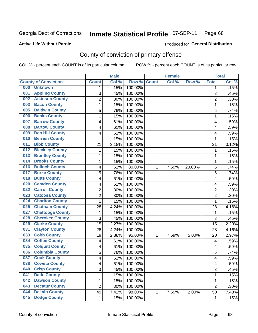#### **Active Life Without Parole**

### Produced for **General Distribution**

## County of conviction of primary offense

|                                |                | <b>Male</b> |         |              | <b>Female</b> |        |                | <b>Total</b> |
|--------------------------------|----------------|-------------|---------|--------------|---------------|--------|----------------|--------------|
| <b>County of Conviction</b>    | <b>Count</b>   | Col %       | Row %   | <b>Count</b> | Col %         | Row %  | <b>Total</b>   | Col %        |
| 000<br><b>Unknown</b>          | 1              | .15%        | 100.00% |              |               |        | 1              | .15%         |
| <b>Appling County</b><br>001   | 3              | .45%        | 100.00% |              |               |        | 3              | .45%         |
| <b>Atkinson County</b><br>002  | $\overline{c}$ | .30%        | 100.00% |              |               |        | $\overline{2}$ | .30%         |
| <b>Bacon County</b><br>003     | 1              | .15%        | 100.00% |              |               |        | 1              | .15%         |
| <b>Baldwin County</b><br>005   | 5              | .76%        | 100.00% |              |               |        | 5              | .74%         |
| <b>Banks County</b><br>006     | 1              | .15%        | 100.00% |              |               |        | $\mathbf{1}$   | .15%         |
| <b>Barrow County</b><br>007    | 4              | .61%        | 100.00% |              |               |        | 4              | .59%         |
| <b>Bartow County</b><br>008    | 4              | .61%        | 100.00% |              |               |        | 4              | .59%         |
| <b>Ben Hill County</b><br>009  | 4              | .61%        | 100.00% |              |               |        | 4              | .59%         |
| <b>Berrien County</b><br>010   | 1              | .15%        | 100.00% |              |               |        | $\mathbf{1}$   | .15%         |
| <b>Bibb County</b><br>011      | 21             | 3.18%       | 100.00% |              |               |        | 21             | 3.12%        |
| <b>Bleckley County</b><br>012  | 1              | .15%        | 100.00% |              |               |        | 1              | .15%         |
| <b>Brantley County</b><br>013  | 1              | .15%        | 100.00% |              |               |        | 1              | .15%         |
| <b>Brooks County</b><br>014    | 1              | .15%        | 100.00% |              |               |        | $\mathbf{1}$   | .15%         |
| <b>Bulloch County</b><br>016   | 4              | .61%        | 80.00%  | 1            | 7.69%         | 20.00% | 5              | .74%         |
| <b>Burke County</b><br>017     | 5              | .76%        | 100.00% |              |               |        | 5              | .74%         |
| <b>Butts County</b><br>018     | 4              | .61%        | 100.00% |              |               |        | 4              | .59%         |
| <b>Camden County</b><br>020    | 4              | .61%        | 100.00% |              |               |        | 4              | .59%         |
| <b>Carroll County</b><br>022   | $\overline{2}$ | .30%        | 100.00% |              |               |        | $\overline{2}$ | .30%         |
| <b>Catoosa County</b><br>023   | $\overline{2}$ | .30%        | 100.00% |              |               |        | $\overline{2}$ | .30%         |
| <b>Charlton County</b><br>024  | 1              | .15%        | 100.00% |              |               |        | $\mathbf{1}$   | .15%         |
| <b>Chatham County</b><br>025   | 28             | 4.24%       | 100.00% |              |               |        | 28             | 4.16%        |
| <b>Chattooga County</b><br>027 | 1              | .15%        | 100.00% |              |               |        | 1              | .15%         |
| <b>Cherokee County</b><br>028  | 3              | .45%        | 100.00% |              |               |        | 3              | .45%         |
| <b>Clarke County</b><br>029    | 15             | 2.27%       | 100.00% |              |               |        | 15             | 2.23%        |
| <b>Clayton County</b><br>031   | 28             | 4.24%       | 100.00% |              |               |        | 28             | 4.16%        |
| <b>Cobb County</b><br>033      | 19             | 2.88%       | 95.00%  | 1            | 7.69%         | 5.00%  | 20             | 2.97%        |
| <b>Coffee County</b><br>034    | 4              | .61%        | 100.00% |              |               |        | 4              | .59%         |
| <b>Colquitt County</b><br>035  | 4              | .61%        | 100.00% |              |               |        | 4              | .59%         |
| <b>Columbia County</b><br>036  | 5              | .76%        | 100.00% |              |               |        | 5              | .74%         |
| <b>Cook County</b><br>037      | 4              | .61%        | 100.00% |              |               |        | 4              | .59%         |
| 038<br><b>Coweta County</b>    | 4              | .61%        | 100.00% |              |               |        | 4              | .59%         |
| <b>Crisp County</b><br>040     | 3              | .45%        | 100.00% |              |               |        | 3              | .45%         |
| <b>Dade County</b><br>041      | 1              | .15%        | 100.00% |              |               |        | $\mathbf{1}$   | .15%         |
| <b>Dawson County</b><br>042    | 1              | .15%        | 100.00% |              |               |        | 1              | .15%         |
| <b>Decatur County</b><br>043   | $\overline{2}$ | .30%        | 100.00% |              |               |        | $\overline{2}$ | .30%         |
| <b>Dekalb County</b><br>044    | 49             | 7.42%       | 98.00%  | 1            | 7.69%         | 2.00%  | 50             | 7.43%        |
| <b>Dodge County</b><br>045     | $\mathbf 1$    | .15%        | 100.00% |              |               |        | 1              | .15%         |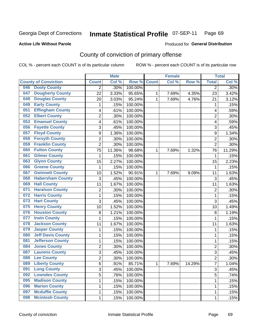#### **Active Life Without Parole**

#### Produced for **General Distribution**

## County of conviction of primary offense

|                                 |                | <b>Male</b> |         |              | <b>Female</b> |        |                | <b>Total</b> |
|---------------------------------|----------------|-------------|---------|--------------|---------------|--------|----------------|--------------|
| <b>County of Conviction</b>     | <b>Count</b>   | Col %       | Row %   | <b>Count</b> | Col %         | Row %  | <b>Total</b>   | Col %        |
| <b>Dooly County</b><br>046      | 2              | .30%        | 100.00% |              |               |        | $\overline{2}$ | .30%         |
| <b>Dougherty County</b><br>047  | 22             | 3.33%       | 95.65%  | 1            | 7.69%         | 4.35%  | 23             | 3.42%        |
| <b>Douglas County</b><br>048    | 20             | 3.03%       | 95.24%  | 1            | 7.69%         | 4.76%  | 21             | 3.12%        |
| <b>Early County</b><br>049      | 1              | .15%        | 100.00% |              |               |        | 1              | .15%         |
| <b>Effingham County</b><br>051  | 4              | .61%        | 100.00% |              |               |        | 4              | .59%         |
| <b>Elbert County</b><br>052     | $\overline{2}$ | .30%        | 100.00% |              |               |        | $\overline{2}$ | .30%         |
| <b>Emanuel County</b><br>053    | 4              | .61%        | 100.00% |              |               |        | 4              | .59%         |
| <b>Fayette County</b><br>056    | 3              | .45%        | 100.00% |              |               |        | 3              | .45%         |
| <b>Floyd County</b><br>057      | 9              | 1.36%       | 100.00% |              |               |        | 9              | 1.34%        |
| <b>Forsyth County</b><br>058    | $\overline{2}$ | .30%        | 100.00% |              |               |        | $\overline{2}$ | $.30\%$      |
| <b>Franklin County</b><br>059   | $\overline{2}$ | .30%        | 100.00% |              |               |        | $\overline{2}$ | .30%         |
| <b>Fulton County</b><br>060     | 75             | 11.36%      | 98.68%  | 1            | 7.69%         | 1.32%  | 76             | 11.29%       |
| <b>Gilmer County</b><br>061     | $\mathbf{1}$   | .15%        | 100.00% |              |               |        | $\mathbf{1}$   | .15%         |
| <b>Glynn County</b><br>063      | 15             | 2.27%       | 100.00% |              |               |        | 15             | 2.23%        |
| <b>Greene County</b><br>066     | $\mathbf{1}$   | .15%        | 100.00% |              |               |        | $\mathbf 1$    | .15%         |
| <b>Gwinnett County</b><br>067   | 10             | 1.52%       | 90.91%  | 1            | 7.69%         | 9.09%  | 11             | 1.63%        |
| <b>Habersham County</b><br>068  | 3              | .45%        | 100.00% |              |               |        | 3              | .45%         |
| <b>Hall County</b><br>069       | 11             | 1.67%       | 100.00% |              |               |        | 11             | 1.63%        |
| <b>Haralson County</b><br>071   | $\overline{c}$ | .30%        | 100.00% |              |               |        | $\overline{2}$ | .30%         |
| <b>Harris County</b><br>072     | 1              | .15%        | 100.00% |              |               |        | 1              | .15%         |
| <b>Hart County</b><br>073       | 3              | .45%        | 100.00% |              |               |        | 3              | .45%         |
| <b>Henry County</b><br>075      | 10             | 1.52%       | 100.00% |              |               |        | 10             | 1.49%        |
| <b>Houston County</b><br>076    | 8              | 1.21%       | 100.00% |              |               |        | 8              | 1.19%        |
| <b>Irwin County</b><br>077      | 1              | .15%        | 100.00% |              |               |        | 1              | .15%         |
| <b>Jackson County</b><br>078    | 11             | 1.67%       | 100.00% |              |               |        | 11             | 1.63%        |
| <b>Jasper County</b><br>079     | 1              | .15%        | 100.00% |              |               |        | $\mathbf 1$    | .15%         |
| <b>Jeff Davis County</b><br>080 | 1              | .15%        | 100.00% |              |               |        | $\mathbf 1$    | .15%         |
| <b>Jefferson County</b><br>081  | 1              | .15%        | 100.00% |              |               |        | 1              | .15%         |
| <b>Jones County</b><br>084      | $\overline{2}$ | .30%        | 100.00% |              |               |        | $\overline{2}$ | $.30\%$      |
| <b>Laurens County</b><br>087    | 3              | .45%        | 100.00% |              |               |        | 3              | .45%         |
| <b>Lee County</b><br>088        | $\overline{2}$ | .30%        | 100.00% |              |               |        | $\overline{2}$ | .30%         |
| <b>Liberty County</b><br>089    | 6              | .91%        | 85.71%  | 1            | 7.69%         | 14.29% | 7              | 1.04%        |
| <b>Long County</b><br>091       | $\overline{3}$ | .45%        | 100.00% |              |               |        | 3              | .45%         |
| <b>Lowndes County</b><br>092    | $\overline{5}$ | .76%        | 100.00% |              |               |        | $\overline{5}$ | .74%         |
| <b>Madison County</b><br>095    | 1              | .15%        | 100.00% |              |               |        | $\mathbf{1}$   | .15%         |
| <b>Marion County</b><br>096     | 1              | .15%        | 100.00% |              |               |        | 1              | .15%         |
| <b>Mcduffie County</b><br>097   | 1              | .15%        | 100.00% |              |               |        | $\mathbf{1}$   | .15%         |
| <b>Mcintosh County</b><br>098   | $\mathbf 1$    | .15%        | 100.00% |              |               |        | $\mathbf{1}$   | .15%         |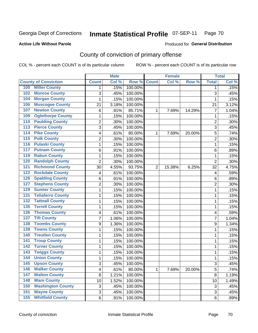#### **Active Life Without Parole**

## Produced for **General Distribution**

## County of conviction of primary offense

|                                            |                | <b>Male</b> |         |                | <b>Female</b> |        |                | <b>Total</b> |
|--------------------------------------------|----------------|-------------|---------|----------------|---------------|--------|----------------|--------------|
| <b>County of Conviction</b>                | <b>Count</b>   | Col %       | Row %   | <b>Count</b>   | Col %         | Row %  | <b>Total</b>   | Col %        |
| <b>Miller County</b><br>100                | 1              | .15%        | 100.00% |                |               |        | 1              | .15%         |
| <b>Monroe County</b><br>102                | 3              | .45%        | 100.00% |                |               |        | 3              | .45%         |
| <b>Morgan County</b><br>104                | 1              | .15%        | 100.00% |                |               |        | 1              | .15%         |
| <b>Muscogee County</b><br>106              | 21             | 3.18%       | 100.00% |                |               |        | 21             | 3.12%        |
| <b>Newton County</b><br>107                | 6              | .91%        | 85.71%  | 1              | 7.69%         | 14.29% | $\overline{7}$ | 1.04%        |
| <b>Oglethorpe County</b><br>109            | $\mathbf{1}$   | .15%        | 100.00% |                |               |        | 1              | .15%         |
| <b>Paulding County</b><br>110              | $\overline{c}$ | .30%        | 100.00% |                |               |        | $\overline{2}$ | .30%         |
| <b>Pierce County</b><br>113                | 3              | .45%        | 100.00% |                |               |        | 3              | .45%         |
| <b>Pike County</b><br>114                  | 4              | .61%        | 80.00%  | 1              | 7.69%         | 20.00% | 5              | .74%         |
| <b>Polk County</b><br>115                  | $\overline{2}$ | .30%        | 100.00% |                |               |        | $\overline{2}$ | .30%         |
| <b>Pulaski County</b><br>116               | $\mathbf{1}$   | .15%        | 100.00% |                |               |        | 1              | .15%         |
| <b>Putnam County</b><br>117                | 6              | .91%        | 100.00% |                |               |        | 6              | .89%         |
| <b>Rabun County</b><br>119                 | 1              | .15%        | 100.00% |                |               |        | 1              | .15%         |
| <b>Randolph County</b><br>120              | $\overline{2}$ | .30%        | 100.00% |                |               |        | $\overline{2}$ | .30%         |
| <b>Richmond County</b><br>$\overline{121}$ | 30             | 4.55%       | 93.75%  | $\overline{2}$ | 15.38%        | 6.25%  | 32             | 4.75%        |
| <b>Rockdale County</b><br>122              | 4              | .61%        | 100.00% |                |               |        | 4              | .59%         |
| <b>Spalding County</b><br>126              | 6              | .91%        | 100.00% |                |               |        | 6              | .89%         |
| <b>Stephens County</b><br>127              | $\overline{2}$ | .30%        | 100.00% |                |               |        | $\overline{2}$ | .30%         |
| <b>Sumter County</b><br>129                | 1              | .15%        | 100.00% |                |               |        | 1              | .15%         |
| <b>Taliaferro County</b><br>131            | 1              | .15%        | 100.00% |                |               |        | 1              | .15%         |
| <b>Tattnall County</b><br>132              | 1              | .15%        | 100.00% |                |               |        | 1              | .15%         |
| <b>Terrell County</b><br>135               | $\mathbf{1}$   | .15%        | 100.00% |                |               |        | $\mathbf{1}$   | .15%         |
| <b>Thomas County</b><br>136                | 4              | .61%        | 100.00% |                |               |        | 4              | .59%         |
| <b>Tift County</b><br>137                  | 7              | 1.06%       | 100.00% |                |               |        | $\overline{7}$ | 1.04%        |
| <b>Toombs County</b><br>138                | 9              | 1.36%       | 100.00% |                |               |        | 9              | 1.34%        |
| <b>Towns County</b><br>139                 | 1              | .15%        | 100.00% |                |               |        | 1              | .15%         |
| <b>Treutlen County</b><br>140              | 1              | .15%        | 100.00% |                |               |        | 1              | .15%         |
| <b>Troup County</b><br>141                 | 1              | .15%        | 100.00% |                |               |        | 1              | .15%         |
| <b>Turner County</b><br>142                | 1              | .15%        | 100.00% |                |               |        | 1              | .15%         |
| <b>Twiggs County</b><br>$\overline{143}$   | 1              | .15%        | 100.00% |                |               |        | 1              | .15%         |
| <b>Union County</b><br>144                 | 1              | .15%        | 100.00% |                |               |        | 1              | .15%         |
| 145<br><b>Upson County</b>                 | 3              | .45%        | 100.00% |                |               |        | 3              | .45%         |
| <b>Walker County</b><br>146                | 4              | .61%        | 80.00%  | 1              | 7.69%         | 20.00% | 5              | .74%         |
| <b>Walton County</b><br>147                | $\bf 8$        | 1.21%       | 100.00% |                |               |        | 8              | 1.19%        |
| <b>Ware County</b><br>148                  | 10             | 1.52%       | 100.00% |                |               |        | 10             | 1.49%        |
| <b>Washington County</b><br>150            | 3              | .45%        | 100.00% |                |               |        | 3              | .45%         |
| <b>Wayne County</b><br>151                 | 3              | .45%        | 100.00% |                |               |        | 3              | .45%         |
| <b>Whitfield County</b><br>155             | 6              | .91%        | 100.00% |                |               |        | 6              | .89%         |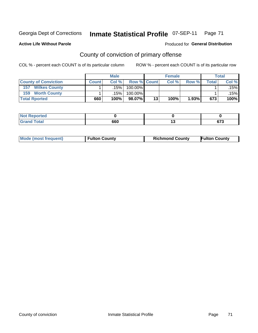Produced for **General Distribution**

### **Active Life Without Parole**

## County of conviction of primary offense

|                             |              | <b>Male</b> |             |    | <b>Female</b> |       |       | <b>Total</b> |
|-----------------------------|--------------|-------------|-------------|----|---------------|-------|-------|--------------|
| <b>County of Conviction</b> | <b>Count</b> | Col%        | Row % Count |    | Col %         | Row % | Total | Col %        |
| <b>Wilkes County</b><br>157 |              | .15% l      | 100.00%     |    |               |       |       | $.15\%$      |
| <b>Worth County</b><br>159  |              | .15% l      | 100.00%     |    |               |       |       | .15%         |
| <b>Total Rported</b>        | 660          | 100%        | 98.07%      | 13 | 100%          | 1.93% | 673   | 100%         |

| τeα                         |     |             |
|-----------------------------|-----|-------------|
| $\sim$ $\sim$ $\sim$ $\sim$ | 660 | ~-~<br>ט וט |

| <b>Mode (most frequent)</b><br><b>Fulton County</b> |  | <b>Richmond County</b> | <b>Fulton County</b> |  |
|-----------------------------------------------------|--|------------------------|----------------------|--|
|                                                     |  |                        |                      |  |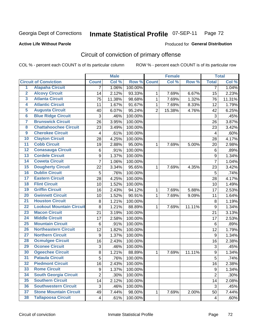#### **Active Life Without Parole**

#### Produced for **General Distribution**

## Circuit of conviction of primary offense

|                         |                                 | <b>Male</b>    |        | <b>Female</b> |                |        | <b>Total</b> |                         |        |
|-------------------------|---------------------------------|----------------|--------|---------------|----------------|--------|--------------|-------------------------|--------|
|                         | <b>Circuit of Conviction</b>    | <b>Count</b>   | Col %  | Row %         | <b>Count</b>   | Col%   | Row %        | <b>Total</b>            | Col %  |
| 1                       | <b>Alapaha Circuit</b>          | 7              | 1.06%  | 100.00%       |                |        |              | 7                       | 1.04%  |
| $\overline{2}$          | <b>Alcovy Circuit</b>           | 14             | 2.12%  | 93.33%        | 1              | 7.69%  | 6.67%        | 15                      | 2.23%  |
| $\overline{\mathbf{3}}$ | <b>Atlanta Circuit</b>          | 75             | 11.38% | 98.68%        | $\mathbf{1}$   | 7.69%  | 1.32%        | 76                      | 11.31% |
| 4                       | <b>Atlantic Circuit</b>         | 11             | 1.67%  | 91.67%        | $\mathbf 1$    | 7.69%  | 8.33%        | 12                      | 1.79%  |
| 5                       | <b>Augusta Circuit</b>          | 40             | 6.07%  | 95.24%        | $\overline{2}$ | 15.38% | 4.76%        | 42                      | 6.25%  |
| $\overline{6}$          | <b>Blue Ridge Circuit</b>       | 3              | .46%   | 100.00%       |                |        |              | 3                       | .45%   |
| $\overline{\mathbf{7}}$ | <b>Brunswick Circuit</b>        | 26             | 3.95%  | 100.00%       |                |        |              | 26                      | 3.87%  |
| 8                       | <b>Chattahoochee Circuit</b>    | 23             | 3.49%  | 100.00%       |                |        |              | 23                      | 3.42%  |
| $\overline{9}$          | <b>Cherokee Circuit</b>         | 4              | .61%   | 100.00%       |                |        |              | $\overline{\mathbf{4}}$ | .60%   |
| 10                      | <b>Clayton Circuit</b>          | 28             | 4.25%  | 100.00%       |                |        |              | 28                      | 4.17%  |
| $\overline{11}$         | <b>Cobb Circuit</b>             | 19             | 2.88%  | 95.00%        | 1              | 7.69%  | 5.00%        | 20                      | 2.98%  |
| $\overline{12}$         | <b>Conasauga Circuit</b>        | 6              | .91%   | 100.00%       |                |        |              | $\,6$                   | .89%   |
| 13                      | <b>Cordele Circuit</b>          | 9              | 1.37%  | 100.00%       |                |        |              | $\boldsymbol{9}$        | 1.34%  |
| 14                      | <b>Coweta Circuit</b>           | $\overline{7}$ | 1.06%  | 100.00%       |                |        |              | $\overline{7}$          | 1.04%  |
| 15                      | <b>Dougherty Circuit</b>        | 22             | 3.34%  | 95.65%        | $\mathbf 1$    | 7.69%  | 4.35%        | 23                      | 3.42%  |
| 16                      | <b>Dublin Circuit</b>           | 5              | .76%   | 100.00%       |                |        |              | 5                       | .74%   |
| 17                      | <b>Eastern Circuit</b>          | 28             | 4.25%  | 100.00%       |                |        |              | 28                      | 4.17%  |
| 18                      | <b>Flint Circuit</b>            | 10             | 1.52%  | 100.00%       |                |        |              | 10                      | 1.49%  |
| 19                      | <b>Griffin Circuit</b>          | 16             | 2.43%  | 94.12%        | 1              | 7.69%  | 5.88%        | 17                      | 2.53%  |
| 20                      | <b>Gwinnett Circuit</b>         | 10             | 1.52%  | 90.91%        | 1              | 7.69%  | 9.09%        | 11                      | 1.64%  |
| $\overline{21}$         | <b>Houston Circuit</b>          | 8              | 1.21%  | 100.00%       |                |        |              | 8                       | 1.19%  |
| $\overline{22}$         | <b>Lookout Mountain Circuit</b> | 8              | 1.21%  | 88.89%        | 1              | 7.69%  | 11.11%       | $\boldsymbol{9}$        | 1.34%  |
| 23                      | <b>Macon Circuit</b>            | 21             | 3.19%  | 100.00%       |                |        |              | 21                      | 3.13%  |
| $\overline{24}$         | <b>Middle Circuit</b>           | 17             | 2.58%  | 100.00%       |                |        |              | 17                      | 2.53%  |
| $\overline{25}$         | <b>Mountain Circuit</b>         | 6              | .91%   | 100.00%       |                |        |              | 6                       | .89%   |
| 26                      | <b>Northeastern Circuit</b>     | 12             | 1.82%  | 100.00%       |                |        |              | 12                      | 1.79%  |
| $\overline{27}$         | <b>Northern Circuit</b>         | 9              | 1.37%  | 100.00%       |                |        |              | 9                       | 1.34%  |
| 28                      | <b>Ocmulgee Circuit</b>         | 16             | 2.43%  | 100.00%       |                |        |              | 16                      | 2.38%  |
| 29                      | <b>Oconee Circuit</b>           | 3              | .46%   | 100.00%       |                |        |              | 3                       | .45%   |
| 30                      | <b>Ogeechee Circuit</b>         | 8              | 1.21%  | 88.89%        | $\mathbf 1$    | 7.69%  | 11.11%       | 9                       | 1.34%  |
| $\overline{31}$         | <b>Pataula Circuit</b>          | 5              | .76%   | 100.00%       |                |        |              | 5                       | .74%   |
| 32                      | <b>Piedmont Circuit</b>         | 16             | 2.43%  | 100.00%       |                |        |              | 16                      | 2.38%  |
| 33                      | <b>Rome Circuit</b>             | 9              | 1.37%  | 100.00%       |                |        |              | 9                       | 1.34%  |
| 34                      | <b>South Georgia Circuit</b>    | $\overline{2}$ | .30%   | 100.00%       |                |        |              | $\overline{2}$          | .30%   |
| 35                      | <b>Southern Circuit</b>         | 14             | 2.12%  | 100.00%       |                |        |              | 14                      | 2.08%  |
| 36                      | <b>Southwestern Circuit</b>     | 3              | .46%   | 100.00%       |                |        |              | $\sqrt{3}$              | .45%   |
| 37                      | <b>Stone Mountain Circuit</b>   | 49             | 7.44%  | 98.00%        | 1              | 7.69%  | 2.00%        | 50                      | 7.44%  |
| 38                      | <b>Tallapoosa Circuit</b>       | $\overline{4}$ | .61%   | 100.00%       |                |        |              | 4                       | .60%   |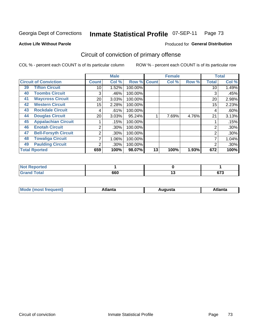**Active Life Without Parole** 

#### Produced for **General Distribution**

## Circuit of conviction of primary offense

|    |                              |              | <b>Male</b> |         |              | <b>Female</b> |       |                | <b>Total</b> |
|----|------------------------------|--------------|-------------|---------|--------------|---------------|-------|----------------|--------------|
|    | <b>Circuit of Conviction</b> | <b>Count</b> | Col %       | Row %   | <b>Count</b> | Col %         | Row % | <b>Total</b>   | Col %        |
| 39 | <b>Tifton Circuit</b>        | 10           | 1.52%       | 100.00% |              |               |       | 10             | 1.49%        |
| 40 | <b>Toombs Circuit</b>        | 3            | .46%        | 100.00% |              |               |       | 3              | .45%         |
| 41 | <b>Waycross Circuit</b>      | 20           | 3.03%       | 100.00% |              |               |       | 20             | 2.98%        |
| 42 | <b>Western Circuit</b>       | 15           | 2.28%       | 100.00% |              |               |       | 15             | 2.23%        |
| 43 | <b>Rockdale Circuit</b>      | 4            | .61%        | 100.00% |              |               |       | 4              | .60%         |
| 44 | <b>Douglas Circuit</b>       | 20           | 3.03%       | 95.24%  |              | 7.69%         | 4.76% | 21             | 3.13%        |
| 45 | <b>Appalachian Circuit</b>   |              | .15%        | 100.00% |              |               |       |                | .15%         |
| 46 | <b>Enotah Circuit</b>        | 2            | $.30\%$     | 100.00% |              |               |       | 2              | $.30\%$      |
| 47 | <b>Bell-Forsyth Circuit</b>  | 2            | $.30\%$     | 100.00% |              |               |       | $\overline{2}$ | .30%         |
| 48 | <b>Towaliga Circuit</b>      | 7            | 1.06%       | 100.00% |              |               |       |                | 1.04%        |
| 49 | <b>Paulding Circuit</b>      | ົ            | $.30\%$     | 100.00% |              |               |       | 2              | $.30\%$      |
|    | <b>Total Rported</b>         | 659          | 100%        | 98.07%  | 13           | 100%          | 1.93% | 672            | 100%         |

| <b>rted</b><br>N |     |    |                 |
|------------------|-----|----|-----------------|
| 'ota.<br>-       | 660 | יי | $\sim$<br>v / ა |

| М<br>. In n tr<br>.<br>.<br>wanta<br>Πū<br>31.<br>$\sim$ $\sim$ $\sim$ |
|------------------------------------------------------------------------|
|------------------------------------------------------------------------|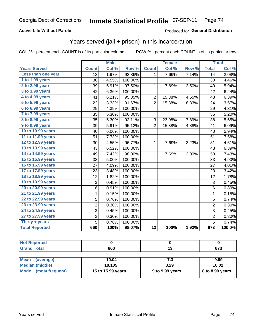### **Active Life Without Parole**

#### Produced for **General Distribution**

## Years served (jail + prison) in this incarceration

|                        |                | <b>Male</b> |         |                 | <b>Female</b> |       |                 | <b>Total</b> |
|------------------------|----------------|-------------|---------|-----------------|---------------|-------|-----------------|--------------|
| <b>Years Served</b>    | <b>Count</b>   | Col %       | Row %   | <b>Count</b>    | Col %         | Row % | <b>Total</b>    | Col %        |
| Less than one year     | 13             | 1.97%       | 92.86%  | 1               | 7.69%         | 7.14% | $\overline{14}$ | 2.08%        |
| 1 to 1.99 years        | 30             | 4.55%       | 100.00% |                 |               |       | 30              | 4.46%        |
| 2 to 2.99 years        | 39             | 5.91%       | 97.50%  | 1               | 7.69%         | 2.50% | 40              | 5.94%        |
| 3 to 3.99 years        | 42             | 6.36%       | 100.00% |                 |               |       | 42              | 6.24%        |
| 4 to 4.99 years        | 41             | 6.21%       | 95.35%  | $\overline{2}$  | 15.38%        | 4.65% | 43              | 6.39%        |
| 5 to 5.99 years        | 22             | 3.33%       | 91.67%  | $\overline{2}$  | 15.38%        | 8.33% | 24              | 3.57%        |
| 6 to 6.99 years        | 29             | 4.39%       | 100.00% |                 |               |       | 29              | 4.31%        |
| 7 to 7.99 years        | 35             | 5.30%       | 100.00% |                 |               |       | 35              | 5.20%        |
| <b>8 to 8.99 years</b> | 35             | 5.30%       | 92.11%  | 3               | 23.08%        | 7.89% | 38              | 5.65%        |
| 9 to 9.99 years        | 39             | 5.91%       | 95.12%  | $\overline{2}$  | 15.38%        | 4.88% | 41              | 6.09%        |
| 10 to 10.99 years      | 40             | 6.06%       | 100.00% |                 |               |       | 40              | 5.94%        |
| 11 to 11.99 years      | 51             | 7.73%       | 100.00% |                 |               |       | 51              | 7.58%        |
| 12 to 12.99 years      | 30             | 4.55%       | 96.77%  | 1               | 7.69%         | 3.23% | 31              | 4.61%        |
| 13 to 13.99 years      | 43             | 6.52%       | 100.00% |                 |               |       | 43              | 6.39%        |
| 14 to 14.99 years      | 49             | 7.42%       | 98.00%  | 1               | 7.69%         | 2.00% | 50              | 7.43%        |
| 15 to 15.99 years      | 33             | 5.00%       | 100.00% |                 |               |       | 33              | 4.90%        |
| 16 to 16.99 years      | 27             | 4.09%       | 100.00% |                 |               |       | 27              | 4.01%        |
| 17 to 17.99 years      | 23             | 3.48%       | 100.00% |                 |               |       | 23              | 3.42%        |
| 18 to 18.99 years      | 12             | 1.82%       | 100.00% |                 |               |       | 12              | 1.78%        |
| 19 to 19.99 years      | 3              | 0.45%       | 100.00% |                 |               |       | 3               | 0.45%        |
| 20 to 20.99 years      | 6              | 0.91%       | 100.00% |                 |               |       | 6               | 0.89%        |
| 21 to 21.99 years      | 1              | 0.15%       | 100.00% |                 |               |       | $\mathbf{1}$    | 0.15%        |
| 22 to 22.99 years      | $\overline{5}$ | 0.76%       | 100.00% |                 |               |       | $\overline{5}$  | 0.74%        |
| 23 to 23.99 years      | $\overline{c}$ | 0.30%       | 100.00% |                 |               |       | $\overline{2}$  | 0.30%        |
| 24 to 24.99 years      | 3              | 0.45%       | 100.00% |                 |               |       | 3               | 0.45%        |
| 27 to 27.99 years      | $\overline{c}$ | 0.30%       | 100.00% |                 |               |       | $\overline{2}$  | 0.30%        |
| Thirty $+$ years       | $\overline{5}$ | 0.76%       | 100.00% |                 |               |       | 5               | 0.74%        |
| <b>Total Reported</b>  | 660            | 100%        | 98.07%  | $\overline{13}$ | 100%          | 1.93% | 673             | 100.0%       |

| те. |     |             |
|-----|-----|-------------|
|     | 660 | ^¬^<br>07 J |

| <b>Mean</b><br>(average) | 10.04             | 7.3             | 9.99            |
|--------------------------|-------------------|-----------------|-----------------|
| Median (middle)          | 10.105            | 8.29            | 10.02           |
| Mode (most frequent)     | 15 to 15.99 years | 9 to 9.99 years | 8 to 8.99 years |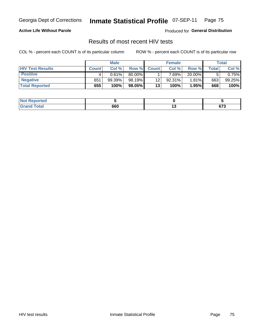### **Active Life Without Parole**

Produced for **General Distribution**

### Results of most recent HIV tests

|                         |              | <b>Male</b> |        |              | <b>Female</b> |        |       | Total  |
|-------------------------|--------------|-------------|--------|--------------|---------------|--------|-------|--------|
| <b>HIV Test Results</b> | <b>Count</b> | Col%        | Row %I | <b>Count</b> | Col%          | Row %  | Total | Col %  |
| <b>Positive</b>         |              | 0.61%       | 80.00% |              | $7.69\%$      | 20.00% |       | 0.75%  |
| <b>Negative</b>         | 651          | 99.39%      | 98.19% | 12           | 92.31%        | 1.81%  | 663   | 99.25% |
| <b>Total Reported</b>   | 655          | 100%        | 98.05% | 13           | 100%          | 1.95%  | 668   | 100%   |

| <b>Not Reported</b> |     |        |
|---------------------|-----|--------|
| <b>Total</b>        | 660 | $\sim$ |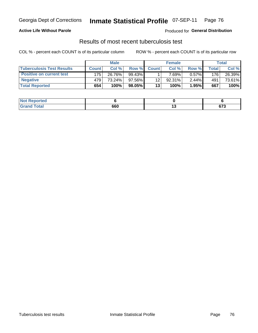### **Active Life Without Parole**

Produced for **General Distribution**

### Results of most recent tuberculosis test

|                                  |              | <b>Male</b> |           |              | <b>Female</b> |          |       | Total  |
|----------------------------------|--------------|-------------|-----------|--------------|---------------|----------|-------|--------|
| <b>Tuberculosis Test Results</b> | <b>Count</b> | Col%        | Row %     | <b>Count</b> | Col%          | Row %    | Total | Col %  |
| <b>Positive on current test</b>  | 175          | 26.76%      | 99.43%    |              | $7.69\%$      | $0.57\%$ | 176   | 26.39% |
| <b>Negative</b>                  | 479          | 73.24%      | $97.56\%$ | 12           | 92.31%        | 2.44%    | 491   | 73.61% |
| <b>Total Reported</b>            | 654          | 100%        | 98.05%    | 13           | 100%          | 1.95%    | 667   | 100%   |

| <b>Not Reported</b>      |     |        |                    |
|--------------------------|-----|--------|--------------------|
| <b>Total</b><br>$G$ roni | 660 | $\sim$ | <b>079</b><br>07 J |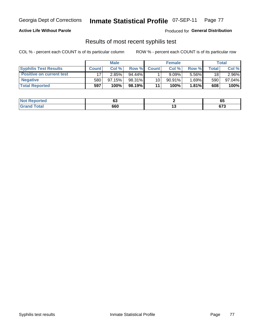#### **Active Life Without Parole**

Produced for **General Distribution**

### Results of most recent syphilis test

|                                 |              | <b>Male</b> |           |                 | <b>Female</b> |          |         | Total  |
|---------------------------------|--------------|-------------|-----------|-----------------|---------------|----------|---------|--------|
| <b>Syphilis Test Results</b>    | <b>Count</b> | Col%        | Row %I    | <b>Count</b>    | Col %         | Row %    | Total i | Col %  |
| <b>Positive on current test</b> |              | 2.85%       | $94.44\%$ |                 | 9.09%         | 5.56%    | 18      | 2.96%  |
| <b>Negative</b>                 | 580          | $97.15\%$   | 98.31%    | 10 <sup>1</sup> | $90.91\%$     | $1.69\%$ | 590     | 97.04% |
| <b>Total Reported</b>           | 597          | 100%        | 98.19%    | 11              | 100%          | 1.81%    | 608     | 100%   |

| <b>Not Reported</b> | ~~<br>vu |        | v.              |
|---------------------|----------|--------|-----------------|
| <b>Grand Total</b>  | 660      | $\sim$ | $\sim$<br>০ / এ |